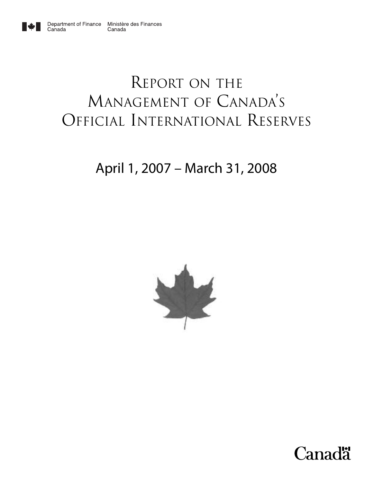

Canada

# REPORT ON THE MANAGEMENT OF CANADA'S OFFICIAL INTERNATIONAL RESERVES

# April 1, 2007 – March 31, 2008



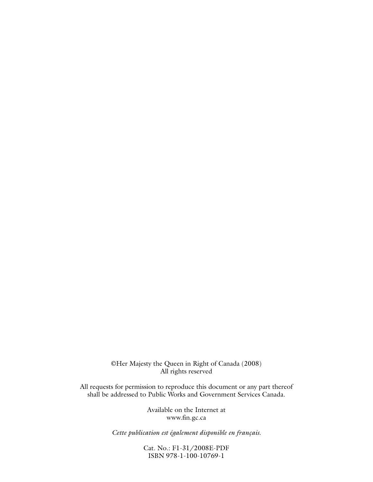©Her Majesty the Queen in Right of Canada (2008) All rights reserved

All requests for permission to reproduce this document or any part thereof shall be addressed to Public Works and Government Services Canada.

> Available on the Internet at www.fin.gc.ca

*Cette publication est également disponible en français.*

Cat. No.: F1-31/2008E-PDF ISBN 978-1-100-10769-1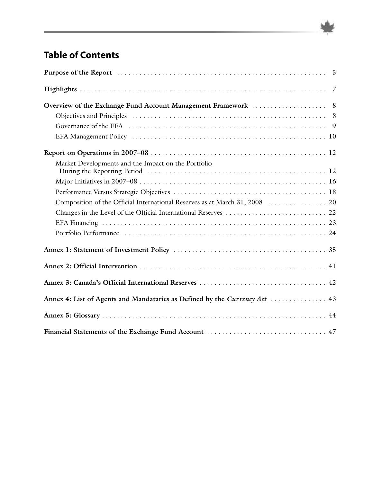# **Table of Contents**

| Market Developments and the Impact on the Portfolio                         |
|-----------------------------------------------------------------------------|
|                                                                             |
|                                                                             |
|                                                                             |
| Composition of the Official International Reserves as at March 31, 2008  20 |
|                                                                             |
|                                                                             |
|                                                                             |
|                                                                             |
|                                                                             |
|                                                                             |
| Annex 4: List of Agents and Mandataries as Defined by the Currency Act  43  |
|                                                                             |
|                                                                             |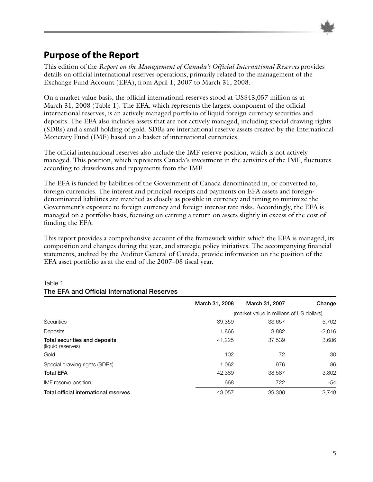

# **Purpose of the Report**

This edition of the *Report on the Management of Canada's Official International Reserves* provides details on official international reserves operations, primarily related to the management of the Exchange Fund Account (EFA), from April 1, 2007 to March 31, 2008.

On a market-value basis, the official international reserves stood at US\$43,057 million as at March 31, 2008 (Table 1). The EFA, which represents the largest component of the official international reserves, is an actively managed portfolio of liquid foreign currency securities and deposits. The EFA also includes assets that are not actively managed, including special drawing rights (SDRs) and a small holding of gold. SDRs are international reserve assets created by the International Monetary Fund (IMF) based on a basket of international currencies.

The official international reserves also include the IMF reserve position, which is not actively managed. This position, which represents Canada's investment in the activities of the IMF, fluctuates according to drawdowns and repayments from the IMF.

The EFA is funded by liabilities of the Government of Canada denominated in, or converted to, foreign currencies. The interest and principal receipts and payments on EFA assets and foreigndenominated liabilities are matched as closely as possible in currency and timing to minimize the Government's exposure to foreign currency and foreign interest rate risks. Accordingly, the EFA is managed on a portfolio basis, focusing on earning a return on assets slightly in excess of the cost of funding the EFA.

This report provides a comprehensive account of the framework within which the EFA is managed, its composition and changes during the year, and strategic policy initiatives. The accompanying financial statements, audited by the Auditor General of Canada, provide information on the position of the EFA asset portfolio as at the end of the 2007–08 fiscal year.

|                                                    | March 31, 2008 | March 31, 2007                           | Change   |
|----------------------------------------------------|----------------|------------------------------------------|----------|
|                                                    |                | (market value in millions of US dollars) |          |
| <b>Securities</b>                                  | 39,359         | 33.657                                   | 5,702    |
| Deposits                                           | 1.866          | 3,882                                    | $-2,016$ |
| Total securities and deposits<br>(liquid reserves) | 41,225         | 37,539                                   | 3,686    |
| Gold                                               | 102            | 72                                       | 30       |
| Special drawing rights (SDRs)                      | 1.062          | 976                                      | 86       |
| <b>Total EFA</b>                                   | 42,389         | 38,587                                   | 3,802    |
| IMF reserve position                               | 668            | 722                                      | $-54$    |
| Total official international reserves              | 43.057         | 39,309                                   | 3.748    |

#### Table 1 **The EFA and OfFcial International Reserves**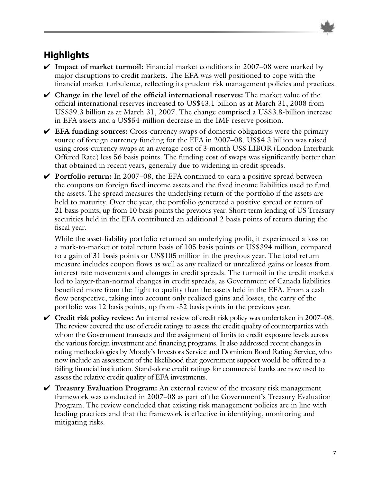

# **Highlights**

- ✔ **Impact of market turmoil:** Financial market conditions in 2007–08 were marked by major disruptions to credit markets. The EFA was well positioned to cope with the financial market turbulence, reflecting its prudent risk management policies and practices.
- **►** Change in the level of the official international reserves: The market value of the official international reserves increased to US\$43.1 billion as at March 31, 2008 from US\$39.3 billion as at March 31, 2007. The change comprised a US\$3.8-billion increase in EFA assets and a US\$54-million decrease in the IMF reserve position.
- ✔ **EFA funding sources:** Cross-currency swaps of domestic obligations were the primary source of foreign currency funding for the EFA in 2007–08. US\$4.3 billion was raised using cross-currency swaps at an average cost of 3-month US\$ LIBOR (London Interbank Offered Rate) less 56 basis points. The funding cost of swaps was significantly better than that obtained in recent years, generally due to widening in credit spreads.
- ✔ **Portfolio return:** In 2007–08, the EFA continued to earn a positive spread between the coupons on foreign fixed income assets and the fixed income liabilities used to fund the assets. The spread measures the underlying return of the portfolio if the assets are held to maturity. Over the year, the portfolio generated a positive spread or return of 21 basis points, up from 10 basis points the previous year. Short-term lending of US Treasury securities held in the EFA contributed an additional 2 basis points of return during the fiscal year.

While the asset-liability portfolio returned an underlying profit, it experienced a loss on a mark-to-market or total return basis of 105 basis points or US\$394 million, compared to a gain of 31 basis points or US\$105 million in the previous year. The total return measure includes coupon flows as well as any realized or unrealized gains or losses from interest rate movements and changes in credit spreads. The turmoil in the credit markets led to larger-than-normal changes in credit spreads, as Government of Canada liabilities benefited more from the flight to quality than the assets held in the EFA. From a cash flow perspective, taking into account only realized gains and losses, the carry of the portfolio was 12 basis points, up from -32 basis points in the previous year.

- ✔ **Credit risk policy review:** An internal review of credit risk policy was undertaken in 2007–08. The review covered the use of credit ratings to assess the credit quality of counterparties with whom the Government transacts and the assignment of limits to credit exposure levels across the various foreign investment and financing programs. It also addressed recent changes in rating methodologies by Moody's Investors Service and Dominion Bond Rating Service, who now include an assessment of the likelihood that government support would be offered to a failing financial institution. Stand-alone credit ratings for commercial banks are now used to assess the relative credit quality of EFA investments.
- ✔ **Treasury Evaluation Program:** An external review of the treasury risk management framework was conducted in 2007–08 as part of the Government's Treasury Evaluation Program. The review concluded that existing risk management policies are in line with leading practices and that the framework is effective in identifying, monitoring and mitigating risks.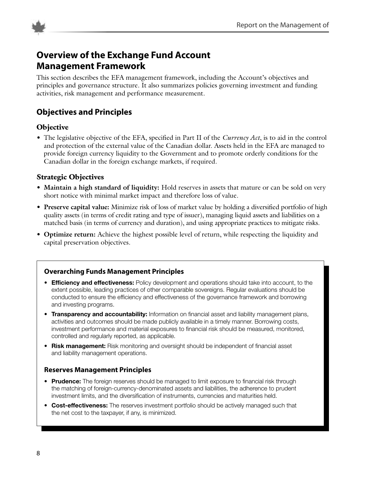

# **Overview of the Exchange Fund Account Management Framework**

This section describes the EFA management framework, including the Account's objectives and principles and governance structure. It also summarizes policies governing investment and funding activities, risk management and performance measurement.

# **Objectives and Principles**

#### **Objective**

• The legislative objective of the EFA, specified in Part II of the *Currency Act*, is to aid in the control and protection of the external value of the Canadian dollar. Assets held in the EFA are managed to provide foreign currency liquidity to the Government and to promote orderly conditions for the Canadian dollar in the foreign exchange markets, if required.

#### **Strategic Objectives**

- **Maintain a high standard of liquidity:** Hold reserves in assets that mature or can be sold on very short notice with minimal market impact and therefore loss of value.
- **Preserve capital value:** Minimize risk of loss of market value by holding a diversified portfolio of high quality assets (in terms of credit rating and type of issuer), managing liquid assets and liabilities on a matched basis (in terms of currency and duration), and using appropriate practices to mitigate risks.
- **Optimize return:** Achieve the highest possible level of return, while respecting the liquidity and capital preservation objectives.

#### **Overarching Funds Management Principles**

- **Efficiency and effectiveness:** Policy development and operations should take into account, to the extent possible, leading practices of other comparable sovereigns. Regular evaluations should be conducted to ensure the efficiency and effectiveness of the governance framework and borrowing and investing programs.
- **Transparency and accountability:** Information on financial asset and liability management plans, activities and outcomes should be made publicly available in a timely manner. Borrowing costs, investment performance and material exposures to financial risk should be measured, monitored, controlled and regularly reported, as applicable.
- **Risk management:** Risk monitoring and oversight should be independent of financial asset and liability management operations.

#### **Reserves Management Principles**

- **Prudence:** The foreign reserves should be managed to limit exposure to financial risk through the matching of foreign-currency-denominated assets and liabilities, the adherence to prudent investment limits, and the diversification of instruments, currencies and maturities held.
- **Cost-effectiveness:** The reserves investment portfolio should be actively managed such that the net cost to the taxpayer, if any, is minimized.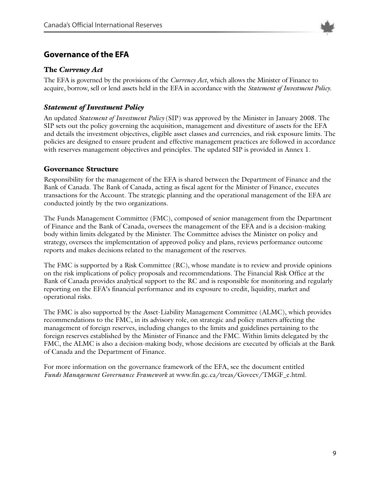

# **Governance of the EFA**

#### **The** *Currency Act*

The EFA is governed by the provisions of the *Currency Act*, which allows the Minister of Finance to acquire, borrow, sell or lend assets held in the EFA in accordance with the *Statement of Investment Policy*.

## *Statement of Investment Policy*

An updated *Statement of Investment Policy* (SIP) was approved by the Minister in January 2008. The SIP sets out the policy governing the acquisition, management and divestiture of assets for the EFA and details the investment objectives, eligible asset classes and currencies, and risk exposure limits. The policies are designed to ensure prudent and effective management practices are followed in accordance with reserves management objectives and principles. The updated SIP is provided in Annex 1.

#### **Governance Structure**

Responsibility for the management of the EFA is shared between the Department of Finance and the Bank of Canada. The Bank of Canada, acting as fiscal agent for the Minister of Finance, executes transactions for the Account. The strategic planning and the operational management of the EFA are conducted jointly by the two organizations.

The Funds Management Committee (FMC), composed of senior management from the Department of Finance and the Bank of Canada, oversees the management of the EFA and is a decision-making body within limits delegated by the Minister. The Committee advises the Minister on policy and strategy, oversees the implementation of approved policy and plans, reviews performance outcome reports and makes decisions related to the management of the reserves.

The FMC is supported by a Risk Committee (RC), whose mandate is to review and provide opinions on the risk implications of policy proposals and recommendations. The Financial Risk Office at the Bank of Canada provides analytical support to the RC and is responsible for monitoring and regularly reporting on the EFA's financial performance and its exposure to credit, liquidity, market and operational risks.

The FMC is also supported by the Asset-Liability Management Committee (ALMC), which provides recommendations to the FMC, in its advisory role, on strategic and policy matters affecting the management of foreign reserves, including changes to the limits and guidelines pertaining to the foreign reserves established by the Minister of Finance and the FMC. Within limits delegated by the FMC, the ALMC is also a decision-making body, whose decisions are executed by officials at the Bank of Canada and the Department of Finance.

For more information on the governance framework of the EFA, see the document entitled *Funds Management Governance Framework* at www.fin.gc.ca/treas/Goveev/TMGF\_e.html.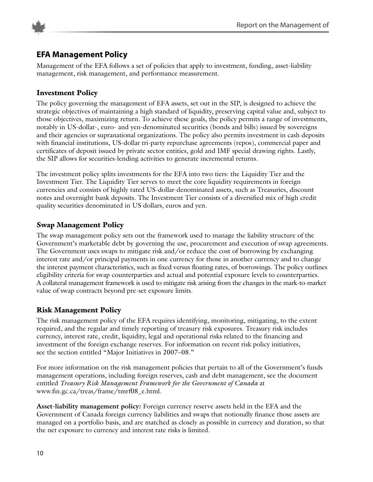

# **EFA Management Policy**

Management of the EFA follows a set of policies that apply to investment, funding, asset-liability management, risk management, and performance measurement.

#### **Investment Policy**

The policy governing the management of EFA assets, set out in the SIP, is designed to achieve the strategic objectives of maintaining a high standard of liquidity, preserving capital value and, subject to those objectives, maximizing return. To achieve these goals, the policy permits a range of investments, notably in US-dollar-, euro- and yen-denominated securities (bonds and bills) issued by sovereigns and their agencies or supranational organizations. The policy also permits investment in cash deposits with financial institutions, US-dollar tri-party repurchase agreements (repos), commercial paper and certificates of deposit issued by private sector entities, gold and IMF special drawing rights. Lastly, the SIP allows for securities-lending activities to generate incremental returns.

The investment policy splits investments for the EFA into two tiers: the Liquidity Tier and the Investment Tier. The Liquidity Tier serves to meet the core liquidity requirements in foreign currencies and consists of highly rated US-dollar-denominated assets, such as Treasuries, discount notes and overnight bank deposits. The Investment Tier consists of a diversified mix of high credit quality securities denominated in US dollars, euros and yen.

#### **Swap Management Policy**

The swap management policy sets out the framework used to manage the liability structure of the Government's marketable debt by governing the use, procurement and execution of swap agreements. The Government uses swaps to mitigate risk and/or reduce the cost of borrowing by exchanging interest rate and/or principal payments in one currency for those in another currency and to change the interest payment characteristics, such as fixed versus floating rates, of borrowings. The policy outlines eligibility criteria for swap counterparties and actual and potential exposure levels to counterparties. A collateral management framework is used to mitigate risk arising from the changes in the mark-to-market value of swap contracts beyond pre-set exposure limits.

#### **Risk Management Policy**

The risk management policy of the EFA requires identifying, monitoring, mitigating, to the extent required, and the regular and timely reporting of treasury risk exposures. Treasury risk includes currency, interest rate, credit, liquidity, legal and operational risks related to the financing and investment of the foreign exchange reserves. For information on recent risk policy initiatives, see the section entitled "Major Initiatives in 2007–08."

For more information on the risk management policies that pertain to all of the Government's funds management operations, including foreign reserves, cash and debt management, see the document entitled *Treasury Risk Management Framework for the Government of Canada* at www.fin.gc.ca/treas/frame/tmrf08\_e.html.

**Asset-liability management policy:** Foreign currency reserve assets held in the EFA and the Government of Canada foreign currency liabilities and swaps that notionally finance those assets are managed on a portfolio basis, and are matched as closely as possible in currency and duration, so that the net exposure to currency and interest rate risks is limited.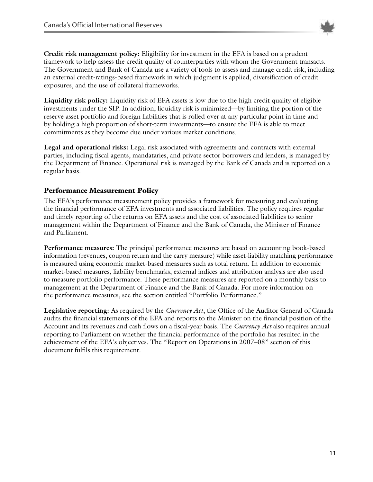

**Credit risk management policy:** Eligibility for investment in the EFA is based on a prudent framework to help assess the credit quality of counterparties with whom the Government transacts. The Government and Bank of Canada use a variety of tools to assess and manage credit risk, including an external credit-ratings-based framework in which judgment is applied, diversification of credit exposures, and the use of collateral frameworks.

**Liquidity risk policy:** Liquidity risk of EFA assets is low due to the high credit quality of eligible investments under the SIP. In addition, liquidity risk is minimized—by limiting the portion of the reserve asset portfolio and foreign liabilities that is rolled over at any particular point in time and by holding a high proportion of short-term investments—to ensure the EFA is able to meet commitments as they become due under various market conditions.

**Legal and operational risks:** Legal risk associated with agreements and contracts with external parties, including fiscal agents, mandataries, and private sector borrowers and lenders, is managed by the Department of Finance. Operational risk is managed by the Bank of Canada and is reported on a regular basis.

#### **Performance Measurement Policy**

The EFA's performance measurement policy provides a framework for measuring and evaluating the financial performance of EFA investments and associated liabilities. The policy requires regular and timely reporting of the returns on EFA assets and the cost of associated liabilities to senior management within the Department of Finance and the Bank of Canada, the Minister of Finance and Parliament.

**Performance measures:** The principal performance measures are based on accounting book-based information (revenues, coupon return and the carry measure) while asset-liability matching performance is measured using economic market-based measures such as total return. In addition to economic market-based measures, liability benchmarks, external indices and attribution analysis are also used to measure portfolio performance. These performance measures are reported on a monthly basis to management at the Department of Finance and the Bank of Canada. For more information on the performance measures, see the section entitled "Portfolio Performance."

**Legislative reporting:** As required by the *Currency Act*, the Office of the Auditor General of Canada audits the financial statements of the EFA and reports to the Minister on the financial position of the Account and its revenues and cash flows on a fiscal-year basis. The *Currency Act* also requires annual reporting to Parliament on whether the financial performance of the portfolio has resulted in the achievement of the EFA's objectives. The "Report on Operations in 2007–08" section of this document fulfils this requirement.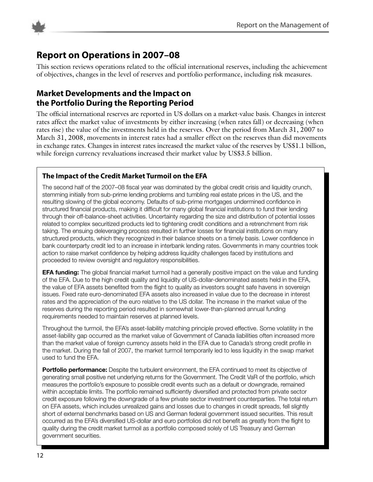

# **Report on Operations in 2007–08**

This section reviews operations related to the official international reserves, including the achievement of objectives, changes in the level of reserves and portfolio performance, including risk measures.

# **Market Developments and the Impact on the Portfolio During the Reporting Period**

The official international reserves are reported in US dollars on a market-value basis. Changes in interest rates affect the market value of investments by either increasing (when rates fall) or decreasing (when rates rise) the value of the investments held in the reserves. Over the period from March 31, 2007 to March 31, 2008, movements in interest rates had a smaller effect on the reserves than did movements in exchange rates. Changes in interest rates increased the market value of the reserves by US\$1.1 billion, while foreign currency revaluations increased their market value by US\$3.5 billion.

## **The Impact of the Credit Market Turmoil on the EFA**

The second half of the 2007–08 fiscal year was dominated by the global credit crisis and liquidity crunch, stemming initially from sub-prime lending problems and tumbling real estate prices in the US, and the resulting slowing of the global economy. Defaults of sub-prime mortgages undermined confidence in structured financial products, making it difficult for many global financial institutions to fund their lending through their off-balance-sheet activities. Uncertainty regarding the size and distribution of potential losses related to complex securitized products led to tightening credit conditions and a retrenchment from risk taking. The ensuing deleveraging process resulted in further losses for financial institutions on many structured products, which they recognized in their balance sheets on a timely basis. Lower confidence in bank counterparty credit led to an increase in interbank lending rates. Governments in many countries took action to raise market confidence by helping address liquidity challenges faced by institutions and proceeded to review oversight and regulatory responsibilities.

**EFA funding:** The global financial market turmoil had a generally positive impact on the value and funding of the EFA. Due to the high credit quality and liquidity of US-dollar-denominated assets held in the EFA, the value of EFA assets benefited from the flight to quality as investors sought safe havens in sovereign issues. Fixed rate euro-denominated EFA assets also increased in value due to the decrease in interest rates and the appreciation of the euro relative to the US dollar. The increase in the market value of the reserves during the reporting period resulted in somewhat lower-than-planned annual funding requirements needed to maintain reserves at planned levels.

Throughout the turmoil, the EFA's asset-liability matching principle proved effective. Some volatility in the asset-liability gap occurred as the market value of Government of Canada liabilities often increased more than the market value of foreign currency assets held in the EFA due to Canada's strong credit profile in the market. During the fall of 2007, the market turmoil temporarily led to less liquidity in the swap market used to fund the EFA.

**Portfolio performance:** Despite the turbulent environment, the EFA continued to meet its objective of generating small positive net underlying returns for the Government. The Credit VaR of the portfolio, which measures the portfolio's exposure to possible credit events such as a default or downgrade, remained within acceptable limits. The portfolio remained sufficiently diversified and protected from private sector credit exposure following the downgrade of a few private sector investment counterparties. The total return on EFA assets, which includes unrealized gains and losses due to changes in credit spreads, fell slightly short of external benchmarks based on US and German federal government issued securities. This result occurred as the EFA's diversified US-dollar and euro portfolios did not benefit as greatly from the flight to quality during the credit market turmoil as a portfolio composed solely of US Treasury and German government securities.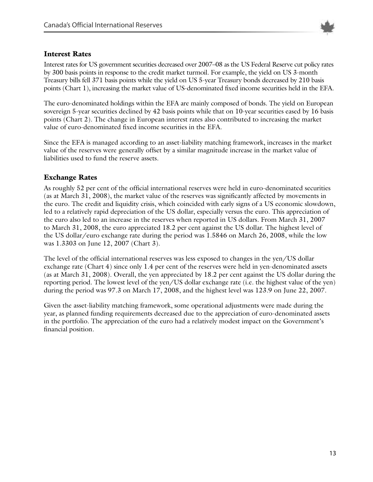

#### **Interest Rates**

Interest rates for US government securities decreased over 2007–08 as the US Federal Reserve cut policy rates by 300 basis points in response to the credit market turmoil. For example, the yield on US 3-month Treasury bills fell 371 basis points while the yield on US 5-year Treasury bonds decreased by 210 basis points (Chart 1), increasing the market value of US-denominated fixed income securities held in the EFA.

The euro-denominated holdings within the EFA are mainly composed of bonds. The yield on European sovereign 5-year securities declined by 42 basis points while that on 10-year securities eased by 16 basis points (Chart 2). The change in European interest rates also contributed to increasing the market value of euro-denominated fixed income securities in the EFA.

Since the EFA is managed according to an asset-liability matching framework, increases in the market value of the reserves were generally offset by a similar magnitude increase in the market value of liabilities used to fund the reserve assets.

#### **Exchange Rates**

As roughly 52 per cent of the official international reserves were held in euro-denominated securities (as at March 31, 2008), the market value of the reserves was significantly affected by movements in the euro. The credit and liquidity crisis, which coincided with early signs of a US economic slowdown, led to a relatively rapid depreciation of the US dollar, especially versus the euro. This appreciation of the euro also led to an increase in the reserves when reported in US dollars. From March 31, 2007 to March 31, 2008, the euro appreciated 18.2 per cent against the US dollar. The highest level of the US dollar/euro exchange rate during the period was 1.5846 on March 26, 2008, while the low was 1.3303 on June 12, 2007 (Chart 3).

The level of the official international reserves was less exposed to changes in the yen/US dollar exchange rate (Chart 4) since only 1.4 per cent of the reserves were held in yen-denominated assets (as at March 31, 2008). Overall, the yen appreciated by 18.2 per cent against the US dollar during the reporting period. The lowest level of the yen/US dollar exchange rate (i.e. the highest value of the yen) during the period was 97.3 on March 17, 2008, and the highest level was 123.9 on June 22, 2007.

Given the asset-liability matching framework, some operational adjustments were made during the year, as planned funding requirements decreased due to the appreciation of euro-denominated assets in the portfolio. The appreciation of the euro had a relatively modest impact on the Government's financial position.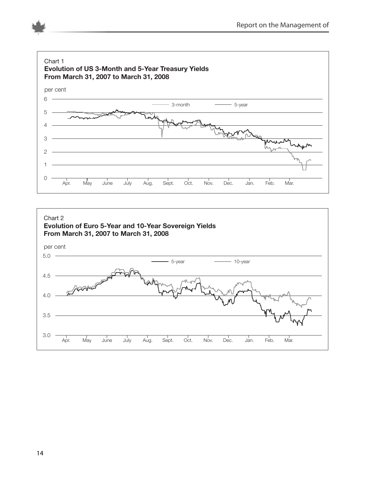



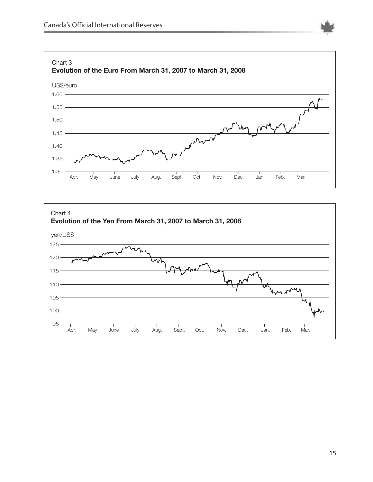

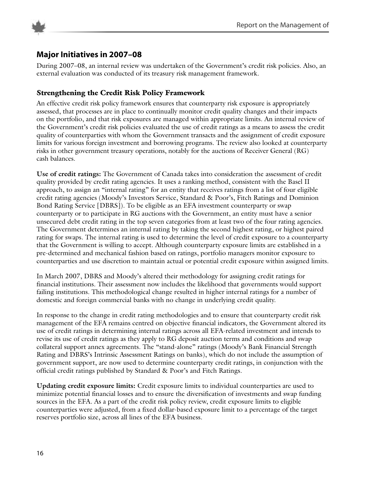



## **Major Initiatives in 2007–08**

During 2007–08, an internal review was undertaken of the Government's credit risk policies. Also, an external evaluation was conducted of its treasury risk management framework.

## **Strengthening the Credit Risk Policy Framework**

An effective credit risk policy framework ensures that counterparty risk exposure is appropriately assessed, that processes are in place to continually monitor credit quality changes and their impacts on the portfolio, and that risk exposures are managed within appropriate limits. An internal review of the Government's credit risk policies evaluated the use of credit ratings as a means to assess the credit quality of counterparties with whom the Government transacts and the assignment of credit exposure limits for various foreign investment and borrowing programs. The review also looked at counterparty risks in other government treasury operations, notably for the auctions of Receiver General (RG) cash balances.

**Use of credit ratings:** The Government of Canada takes into consideration the assessment of credit quality provided by credit rating agencies. It uses a ranking method, consistent with the Basel II approach, to assign an "internal rating" for an entity that receives ratings from a list of four eligible credit rating agencies (Moody's Investors Service, Standard & Poor's, Fitch Ratings and Dominion Bond Rating Service [DBRS]). To be eligible as an EFA investment counterparty or swap counterparty or to participate in RG auctions with the Government, an entity must have a senior unsecured debt credit rating in the top seven categories from at least two of the four rating agencies. The Government determines an internal rating by taking the second highest rating, or highest paired rating for swaps. The internal rating is used to determine the level of credit exposure to a counterparty that the Government is willing to accept. Although counterparty exposure limits are established in a pre-determined and mechanical fashion based on ratings, portfolio managers monitor exposure to counterparties and use discretion to maintain actual or potential credit exposure within assigned limits.

In March 2007, DBRS and Moody's altered their methodology for assigning credit ratings for financial institutions. Their assessment now includes the likelihood that governments would support failing institutions. This methodological change resulted in higher internal ratings for a number of domestic and foreign commercial banks with no change in underlying credit quality.

In response to the change in credit rating methodologies and to ensure that counterparty credit risk management of the EFA remains centred on objective financial indicators, the Government altered its use of credit ratings in determining internal ratings across all EFA-related investment and intends to revise its use of credit ratings as they apply to RG deposit auction terms and conditions and swap collateral support annex agreements. The "stand-alone" ratings (Moody's Bank Financial Strength Rating and DBRS's Intrinsic Assessment Ratings on banks), which do not include the assumption of government support, are now used to determine counterparty credit ratings, in conjunction with the official credit ratings published by Standard & Poor's and Fitch Ratings.

**Updating credit exposure limits:** Credit exposure limits to individual counterparties are used to minimize potential financial losses and to ensure the diversification of investments and swap funding sources in the EFA. As a part of the credit risk policy review, credit exposure limits to eligible counterparties were adjusted, from a fixed dollar-based exposure limit to a percentage of the target reserves portfolio size, across all lines of the EFA business.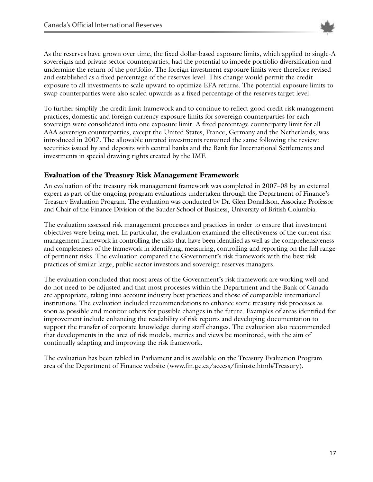

As the reserves have grown over time, the fixed dollar-based exposure limits, which applied to single-A sovereigns and private sector counterparties, had the potential to impede portfolio diversification and undermine the return of the portfolio. The foreign investment exposure limits were therefore revised and established as a fixed percentage of the reserves level. This change would permit the credit exposure to all investments to scale upward to optimize EFA returns. The potential exposure limits to swap counterparties were also scaled upwards as a fixed percentage of the reserves target level.

To further simplify the credit limit framework and to continue to reflect good credit risk management practices, domestic and foreign currency exposure limits for sovereign counterparties for each sovereign were consolidated into one exposure limit. A fixed percentage counterparty limit for all AAA sovereign counterparties, except the United States, France, Germany and the Netherlands, was introduced in 2007. The allowable unrated investments remained the same following the review: securities issued by and deposits with central banks and the Bank for International Settlements and investments in special drawing rights created by the IMF.

#### **Evaluation of the Treasury Risk Management Framework**

An evaluation of the treasury risk management framework was completed in 2007–08 by an external expert as part of the ongoing program evaluations undertaken through the Department of Finance's Treasury Evaluation Program. The evaluation was conducted by Dr. Glen Donaldson, Associate Professor and Chair of the Finance Division of the Sauder School of Business, University of British Columbia.

The evaluation assessed risk management processes and practices in order to ensure that investment objectives were being met. In particular, the evaluation examined the effectiveness of the current risk management framework in controlling the risks that have been identified as well as the comprehensiveness and completeness of the framework in identifying, measuring, controlling and reporting on the full range of pertinent risks. The evaluation compared the Government's risk framework with the best risk practices of similar large, public sector investors and sovereign reserves managers.

The evaluation concluded that most areas of the Government's risk framework are working well and do not need to be adjusted and that most processes within the Department and the Bank of Canada are appropriate, taking into account industry best practices and those of comparable international institutions. The evaluation included recommendations to enhance some treasury risk processes as soon as possible and monitor others for possible changes in the future. Examples of areas identified for improvement include enhancing the readability of risk reports and developing documentation to support the transfer of corporate knowledge during staff changes. The evaluation also recommended that developments in the area of risk models, metrics and views be monitored, with the aim of continually adapting and improving the risk framework.

The evaluation has been tabled in Parliament and is available on the Treasury Evaluation Program area of the Department of Finance website (www.fin.gc.ca/access/fininste.html#Treasury).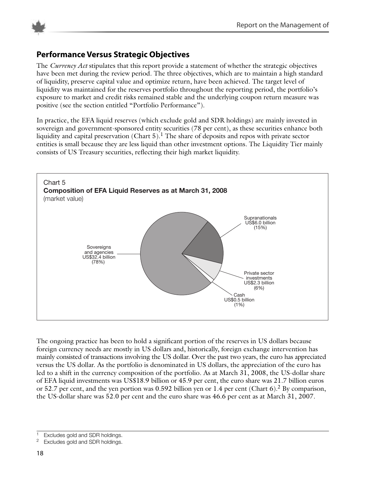



# **Performance Versus Strategic Objectives**

The *Currency Act* stipulates that this report provide a statement of whether the strategic objectives have been met during the review period. The three objectives, which are to maintain a high standard of liquidity, preserve capital value and optimize return, have been achieved. The target level of liquidity was maintained for the reserves portfolio throughout the reporting period, the portfolio's exposure to market and credit risks remained stable and the underlying coupon return measure was positive (see the section entitled "Portfolio Performance").

In practice, the EFA liquid reserves (which exclude gold and SDR holdings) are mainly invested in sovereign and government-sponsored entity securities (78 per cent), as these securities enhance both liquidity and capital preservation (Chart 5). The share of deposits and repos with private sector entities is small because they are less liquid than other investment options. The Liquidity Tier mainly consists of US Treasury securities, reflecting their high market liquidity.



The ongoing practice has been to hold a significant portion of the reserves in US dollars because foreign currency needs are mostly in US dollars and, historically, foreign exchange intervention has mainly consisted of transactions involving the US dollar. Over the past two years, the euro has appreciated versus the US dollar. As the portfolio is denominated in US dollars, the appreciation of the euro has led to a shift in the currency composition of the portfolio. As at March 31, 2008, the US-dollar share of EFA liquid investments was US\$18.9 billion or 45.9 per cent, the euro share was 21.7 billion euros or 52.7 per cent, and the ven portion was 0.592 billion ven or  $1.4$  per cent (Chart 6). <sup>2</sup> By comparison, the US-dollar share was 52.0 per cent and the euro share was 46.6 per cent as at March 31, 2007.

Excludes gold and SDR holdings.

<sup>&</sup>lt;sup>2</sup> Excludes gold and SDR holdings.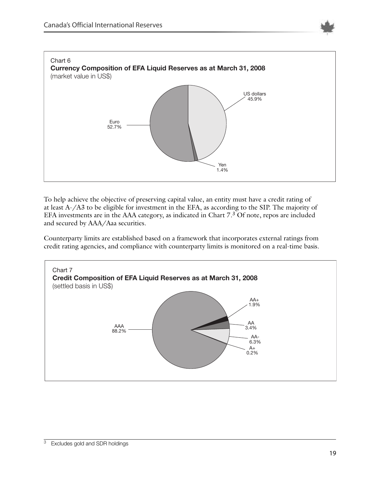



To help achieve the objective of preserving capital value, an entity must have a credit rating of at least A-/A3 to be eligible for investment in the EFA, as according to the SIP. The majority of EFA investments are in the AAA category, as indicated in Chart  $7<sup>3</sup>$  Of note, repos are included and secured by AAA/Aaa securities.

Counterparty limits are established based on a framework that incorporates external ratings from credit rating agencies, and compliance with counterparty limits is monitored on a real-time basis.

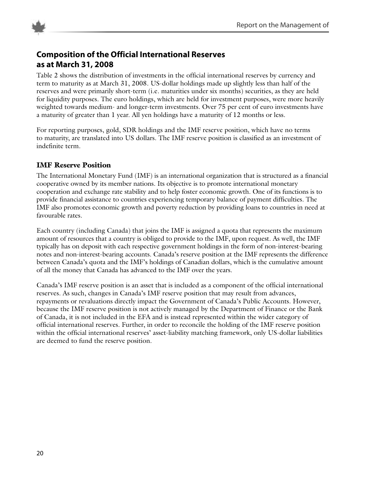

# **Composition of the Official International Reserves as at March 31, 2008**

Table 2 shows the distribution of investments in the official international reserves by currency and term to maturity as at March 31, 2008. US-dollar holdings made up slightly less than half of the reserves and were primarily short-term (i.e. maturities under six months) securities, as they are held for liquidity purposes. The euro holdings, which are held for investment purposes, were more heavily weighted towards medium- and longer-term investments. Over 75 per cent of euro investments have a maturity of greater than 1 year. All yen holdings have a maturity of 12 months or less.

For reporting purposes, gold, SDR holdings and the IMF reserve position, which have no terms to maturity, are translated into US dollars. The IMF reserve position is classified as an investment of indefinite term.

## **IMF Reserve Position**

The International Monetary Fund (IMF) is an international organization that is structured as a financial cooperative owned by its member nations. Its objective is to promote international monetary cooperation and exchange rate stability and to help foster economic growth. One of its functions is to provide financial assistance to countries experiencing temporary balance of payment difficulties. The IMF also promotes economic growth and poverty reduction by providing loans to countries in need at favourable rates.

Each country (including Canada) that joins the IMF is assigned a quota that represents the maximum amount of resources that a country is obliged to provide to the IMF, upon request. As well, the IMF typically has on deposit with each respective government holdings in the form of non-interest-bearing notes and non-interest-bearing accounts. Canada's reserve position at the IMF represents the difference between Canada's quota and the IMF's holdings of Canadian dollars, which is the cumulative amount of all the money that Canada has advanced to the IMF over the years.

Canada's IMF reserve position is an asset that is included as a component of the official international reserves. As such, changes in Canada's IMF reserve position that may result from advances, repayments or revaluations directly impact the Government of Canada's Public Accounts. However, because the IMF reserve position is not actively managed by the Department of Finance or the Bank of Canada, it is not included in the EFA and is instead represented within the wider category of official international reserves. Further, in order to reconcile the holding of the IMF reserve position within the official international reserves' asset-liability matching framework, only US-dollar liabilities are deemed to fund the reserve position.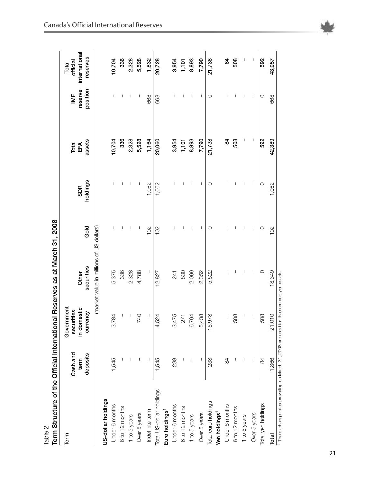| Term                       | Cash and<br>term | Government<br>in domestic<br>securities | Other                                    |                          | <b>SDR</b>               | Total<br>EFA | reserve<br>$\geq$        | international<br>official<br>Total |
|----------------------------|------------------|-----------------------------------------|------------------------------------------|--------------------------|--------------------------|--------------|--------------------------|------------------------------------|
|                            | deposits         | currency                                | securities                               | Gold                     | holdings                 | assets       | position                 | reserves                           |
|                            |                  |                                         | (market value in millions of US dollars) |                          |                          |              |                          |                                    |
| US-dollar holdings         |                  |                                         |                                          |                          |                          |              |                          |                                    |
| Under 6 months             | 1,545            | $\overline{8}$<br>3,7                   | 5,375                                    | $\overline{\phantom{a}}$ | I                        | 10,704       | I                        | 10,704                             |
| 6 to 12 months             |                  |                                         | 336                                      |                          |                          | 336          | ı                        | 336                                |
| 1 to 5 years               |                  |                                         | 2,328                                    | п                        | I                        | 2,328        | п                        | 2,328                              |
| Over 5 years               |                  | Q <sub>F</sub>                          | 4,788                                    | $\overline{\phantom{a}}$ | $\overline{\phantom{a}}$ | 5,528        |                          | 5,528                              |
| Indefinite term            |                  |                                         | I                                        | 102                      | 1,062                    | 1,164        | 668                      | 1,832                              |
| Total US-dollar holdings   | 1,545            | 4,524                                   | 12,827                                   | 102                      | 1,062                    | 20,060       | 668                      | 20,728                             |
| Euro holdings <sup>1</sup> |                  |                                         |                                          |                          |                          |              |                          |                                    |
| Under 6 months             | 238              | 3,475                                   | 241                                      |                          |                          | 3,954        |                          | 3,954                              |
| 6 to 12 months             |                  | 271                                     | 830                                      |                          |                          | 1,101        |                          | 1,101                              |
| 1 to 5 years               |                  | 6,794                                   | 2,099                                    |                          |                          | 8,893        | I                        | 8,893                              |
| Over 5 years               |                  | 5,438                                   | 2,352                                    |                          | $\overline{\phantom{a}}$ | 7,790        | $\overline{\phantom{a}}$ | 7,790                              |
| Total euro holdings        | 238              | 15,978                                  | 5,522                                    | $\circ$                  | $\circ$                  | 21,738       | $\circ$                  | 21,738                             |
| Yen holdings <sup>1</sup>  |                  |                                         |                                          |                          |                          |              |                          |                                    |
| Under 6 months             | 84               |                                         |                                          |                          |                          | 84           |                          | 84                                 |
| 6 to 12 months             |                  | 508                                     |                                          |                          |                          | 508          |                          | 508                                |
| 1 to 5 years               |                  |                                         | I                                        |                          | I                        | I            | I                        | I                                  |
| Over 5 years               |                  |                                         | T                                        | J.                       | $\overline{1}$           |              | T                        | ı                                  |
| Total yen holdings         | 84               | 508                                     | $\circ$                                  | $\circ$                  | $\circ$                  | 592          | $\circ$                  | 592                                |
| Total                      | 1,866            | 21,010                                  | 18,349                                   | 102                      | 1,062                    | 42,389       | 668                      | 43,057                             |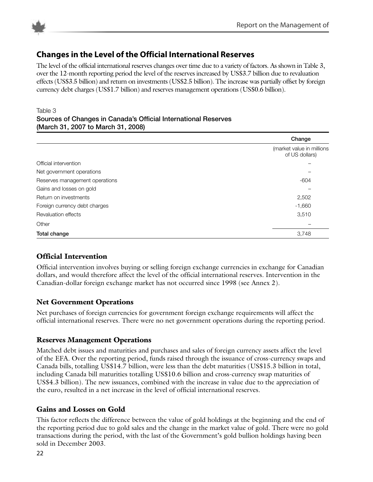

# **Changes in the Level of the Official International Reserves**

The level of the official international reserves changes over time due to a variety of factors. As shown in Table 3, over the 12-month reporting period the level of the reserves increased by US\$3.7 billion due to revaluation effects (US\$3.5 billion) and return on investments (US\$2.5 billion). The increase was partially offset by foreign currency debt charges (US\$1.7 billion) and reserves management operations (US\$0.6 billion).

#### Table 3

#### **Sources** of Changes in Canada's Official International Reserves **(March 31, 2007 to March 31, 2008)**

|                                | Change                                      |
|--------------------------------|---------------------------------------------|
|                                | (market value in millions<br>of US dollars) |
| Official intervention          |                                             |
| Net government operations      |                                             |
| Reserves management operations | $-604$                                      |
| Gains and losses on gold       |                                             |
| Return on investments          | 2,502                                       |
| Foreign currency debt charges  | $-1,660$                                    |
| Revaluation effects            | 3,510                                       |
| Other                          |                                             |
| Total change                   | 3,748                                       |

## **Official Intervention**

Official intervention involves buying or selling foreign exchange currencies in exchange for Canadian dollars, and would therefore affect the level of the official international reserves. Intervention in the Canadian-dollar foreign exchange market has not occurred since 1998 (see Annex 2).

#### **Net Government Operations**

Net purchases of foreign currencies for government foreign exchange requirements will affect the official international reserves. There were no net government operations during the reporting period.

#### **Reserves Management Operations**

Matched debt issues and maturities and purchases and sales of foreign currency assets affect the level of the EFA. Over the reporting period, funds raised through the issuance of cross-currency swaps and Canada bills, totalling US\$14.7 billion, were less than the debt maturities (US\$15.3 billion in total, including Canada bill maturities totalling US\$10.6 billion and cross-currency swap maturities of US\$4.3 billion). The new issuances, combined with the increase in value due to the appreciation of the euro, resulted in a net increase in the level of official international reserves.

#### **Gains and Losses on Gold**

This factor reflects the difference between the value of gold holdings at the beginning and the end of the reporting period due to gold sales and the change in the market value of gold. There were no gold transactions during the period, with the last of the Government's gold bullion holdings having been sold in December 2003.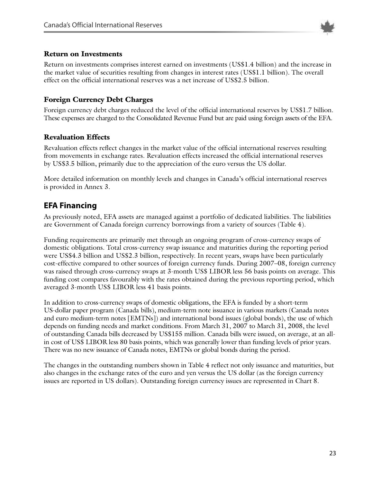

#### **Return on Investments**

Return on investments comprises interest earned on investments (US\$1.4 billion) and the increase in the market value of securities resulting from changes in interest rates (US\$1.1 billion). The overall effect on the official international reserves was a net increase of US\$2.5 billion.

#### **Foreign Currency Debt Charges**

Foreign currency debt charges reduced the level of the official international reserves by US\$1.7 billion. These expenses are charged to the Consolidated Revenue Fund but are paid using foreign assets of the EFA.

#### **Revaluation Effects**

Revaluation effects reflect changes in the market value of the official international reserves resulting from movements in exchange rates. Revaluation effects increased the official international reserves by US\$3.5 billion, primarily due to the appreciation of the euro versus the US dollar.

More detailed information on monthly levels and changes in Canada's official international reserves is provided in Annex 3.

# **EFA Financing**

As previously noted, EFA assets are managed against a portfolio of dedicated liabilities. The liabilities are Government of Canada foreign currency borrowings from a variety of sources (Table 4).

Funding requirements are primarily met through an ongoing program of cross-currency swaps of domestic obligations. Total cross-currency swap issuance and maturities during the reporting period were US\$4.3 billion and US\$2.3 billion, respectively. In recent years, swaps have been particularly cost-effective compared to other sources of foreign currency funds. During 2007–08, foreign currency was raised through cross-currency swaps at 3-month US\$ LIBOR less 56 basis points on average. This funding cost compares favourably with the rates obtained during the previous reporting period, which averaged 3-month US\$ LIBOR less 41 basis points.

In addition to cross-currency swaps of domestic obligations, the EFA is funded by a short-term US-dollar paper program (Canada bills), medium-term note issuance in various markets (Canada notes and euro medium-term notes [EMTNs]) and international bond issues (global bonds), the use of which depends on funding needs and market conditions. From March 31, 2007 to March 31, 2008, the level of outstanding Canada bills decreased by US\$155 million. Canada bills were issued, on average, at an allin cost of US\$ LIBOR less 80 basis points, which was generally lower than funding levels of prior years. There was no new issuance of Canada notes, EMTNs or global bonds during the period.

The changes in the outstanding numbers shown in Table 4 reflect not only issuance and maturities, but also changes in the exchange rates of the euro and yen versus the US dollar (as the foreign currency issues are reported in US dollars). Outstanding foreign currency issues are represented in Chart 8.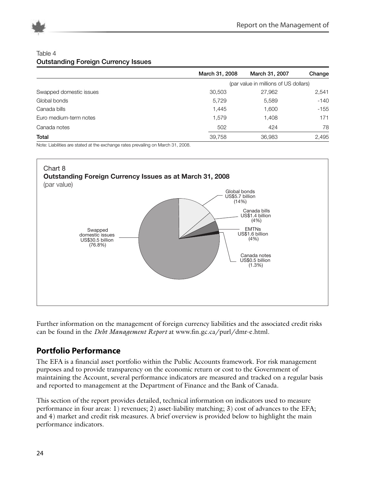



#### Table 4 **Outstanding Foreign Currency Issues**

|                         | March 31, 2008 | March 31, 2007                        | Change |
|-------------------------|----------------|---------------------------------------|--------|
|                         |                | (par value in millions of US dollars) |        |
| Swapped domestic issues | 30,503         | 27,962                                | 2,541  |
| Global bonds            | 5,729          | 5,589                                 | $-140$ |
| Canada bills            | 1,445          | 1,600                                 | $-155$ |
| Euro medium-term notes  | 1,579          | 1,408                                 | 171    |
| Canada notes            | 502            | 424                                   | 78     |
| Total                   | 39,758         | 36,983                                | 2,495  |

Note: Liabilities are stated at the exchange rates prevailing on March 31, 2008.



Further information on the management of foreign currency liabilities and the associated credit risks can be found in the *Debt Management Report* at www.fin.gc.ca/purl/dmr-e.html.

# **Portfolio Performance**

The EFA is a financial asset portfolio within the Public Accounts framework. For risk management purposes and to provide transparency on the economic return or cost to the Government of maintaining the Account, several performance indicators are measured and tracked on a regular basis and reported to management at the Department of Finance and the Bank of Canada.

This section of the report provides detailed, technical information on indicators used to measure performance in four areas: 1) revenues; 2) asset-liability matching; 3) cost of advances to the EFA; and 4) market and credit risk measures. A brief overview is provided below to highlight the main performance indicators.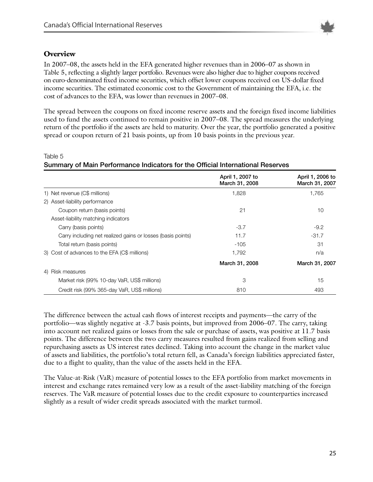

#### **Overview**

In 2007–08, the assets held in the EFA generated higher revenues than in 2006–07 as shown in Table 5, reflecting a slightly larger portfolio. Revenues were also higher due to higher coupons received on euro-denominated fixed income securities, which offset lower coupons received on US-dollar fixed income securities. The estimated economic cost to the Government of maintaining the EFA, i.e. the cost of advances to the EFA, was lower than revenues in 2007–08.

The spread between the coupons on fixed income reserve assets and the foreign fixed income liabilities used to fund the assets continued to remain positive in 2007–08. The spread measures the underlying return of the portfolio if the assets are held to maturity. Over the year, the portfolio generated a positive spread or coupon return of 21 basis points, up from 10 basis points in the previous year.

#### Table 5 **Summary of Main Performance Indicators for the OfFcial International Reserves**

|                                                             | April 1, 2007 to<br>March 31, 2008 | April 1, 2006 to<br>March 31, 2007 |
|-------------------------------------------------------------|------------------------------------|------------------------------------|
| 1) Net revenue (C\$ millions)                               | 1,828                              | 1,765                              |
| 2) Asset-liability performance                              |                                    |                                    |
| Coupon return (basis points)                                | 21                                 | 10                                 |
| Asset-liability matching indicators                         |                                    |                                    |
| Carry (basis points)                                        | $-3.7$                             | $-9.2$                             |
| Carry including net realized gains or losses (basis points) | 11.7                               | $-31.7$                            |
| Total return (basis points)                                 | $-105$                             | 31                                 |
| 3) Cost of advances to the EFA (C\$ millions)               | 1,792                              | n/a                                |
|                                                             | March 31, 2008                     | March 31, 2007                     |
| 4) Risk measures                                            |                                    |                                    |
| Market risk (99% 10-day VaR, US\$ millions)                 | 3                                  | 15                                 |
| Credit risk (99% 365-day VaR, US\$ millions)                | 810                                | 493                                |

The difference between the actual cash flows of interest receipts and payments—the carry of the portfolio—was slightly negative at -3.7 basis points, but improved from 2006–07. The carry, taking into account net realized gains or losses from the sale or purchase of assets, was positive at 11.7 basis points. The difference between the two carry measures resulted from gains realized from selling and repurchasing assets as US interest rates declined. Taking into account the change in the market value of assets and liabilities, the portfolio's total return fell, as Canada's foreign liabilities appreciated faster, due to a flight to quality, than the value of the assets held in the EFA.

The Value-at-Risk (VaR) measure of potential losses to the EFA portfolio from market movements in interest and exchange rates remained very low as a result of the asset-liability matching of the foreign reserves. The VaR measure of potential losses due to the credit exposure to counterparties increased slightly as a result of wider credit spreads associated with the market turmoil.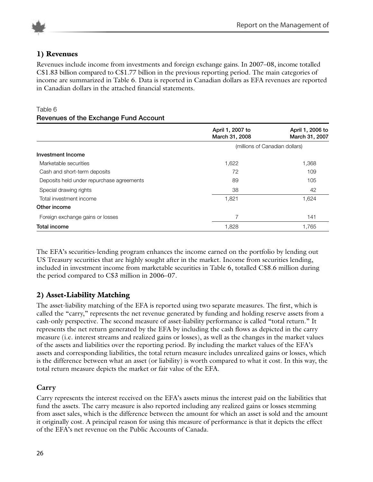

## **1) Revenues**

Revenues include income from investments and foreign exchange gains. In 2007–08, income totalled C\$1.83 billion compared to C\$1.77 billion in the previous reporting period. The main categories of income are summarized in Table 6. Data is reported in Canadian dollars as EFA revenues are reported in Canadian dollars in the attached financial statements.

#### Table 6 **Revenues of the Exchange Fund Account**

|                                           | April 1, 2007 to<br>March 31, 2008 | April 1, 2006 to<br>March 31, 2007 |
|-------------------------------------------|------------------------------------|------------------------------------|
|                                           | (millions of Canadian dollars)     |                                    |
| Investment Income                         |                                    |                                    |
| Marketable securities                     | 1,622                              | 1,368                              |
| Cash and short-term deposits              | 72                                 | 109                                |
| Deposits held under repurchase agreements | 89                                 | 105                                |
| Special drawing rights                    | 38                                 | 42                                 |
| Total investment income                   | 1,821                              | 1,624                              |
| Other income                              |                                    |                                    |
| Foreign exchange gains or losses          | 7                                  | 141                                |
| Total income                              | 1,828                              | 1.765                              |

The EFA's securities-lending program enhances the income earned on the portfolio by lending out US Treasury securities that are highly sought after in the market. Income from securities lending, included in investment income from marketable securities in Table 6, totalled C\$8.6 million during the period compared to C\$3 million in 2006–07.

## **2) Asset-Liability Matching**

The asset-liability matching of the EFA is reported using two separate measures. The first, which is called the "carry," represents the net revenue generated by funding and holding reserve assets from a cash-only perspective. The second measure of asset-liability performance is called "total return." It represents the net return generated by the EFA by including the cash flows as depicted in the carry measure (i.e. interest streams and realized gains or losses), as well as the changes in the market values of the assets and liabilities over the reporting period. By including the market values of the EFA's assets and corresponding liabilities, the total return measure includes unrealized gains or losses, which is the difference between what an asset (or liability) is worth compared to what it cost. In this way, the total return measure depicts the market or fair value of the EFA.

## **Carry**

Carry represents the interest received on the EFA's assets minus the interest paid on the liabilities that fund the assets. The carry measure is also reported including any realized gains or losses stemming from asset sales, which is the difference between the amount for which an asset is sold and the amount it originally cost. A principal reason for using this measure of performance is that it depicts the effect of the EFA's net revenue on the Public Accounts of Canada.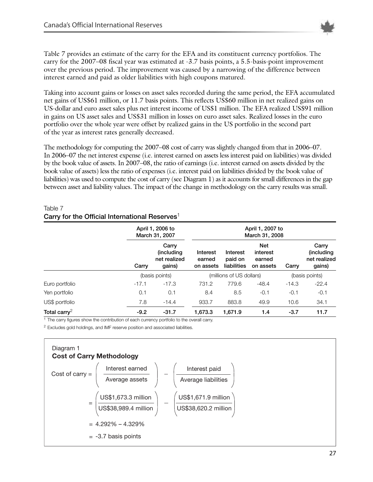

Table 7 provides an estimate of the carry for the EFA and its constituent currency portfolios. The carry for the 2007–08 fiscal year was estimated at -3.7 basis points, a 5.5-basis-point improvement over the previous period. The improvement was caused by a narrowing of the difference between interest earned and paid as older liabilities with high coupons matured.

Taking into account gains or losses on asset sales recorded during the same period, the EFA accumulated net gains of US\$61 million, or 11.7 basis points. This reflects US\$60 million in net realized gains on US-dollar and euro asset sales plus net interest income of US\$1 million. The EFA realized US\$91 million in gains on US asset sales and US\$31 million in losses on euro asset sales. Realized losses in the euro portfolio over the whole year were offset by realized gains in the US portfolio in the second part of the year as interest rates generally decreased.

The methodology for computing the 2007–08 cost of carry was slightly changed from that in 2006–07. In 2006–07 the net interest expense (i.e. interest earned on assets less interest paid on liabilities) was divided by the book value of assets. In 2007–08, the ratio of earnings (i.e. interest earned on assets divided by the book value of assets) less the ratio of expenses (i.e. interest paid on liabilities divided by the book value of liabilities) was used to compute the cost of carry (see Diagram 1) as it accounts for small differences in the gap between asset and liability values. The impact of the change in methodology on the carry results was small.

|                          |         | April 1, 2006 to<br>March 31, 2007                    |                                 | April 1, 2007 to<br>March 31, 2008 |                                               |         |                                               |
|--------------------------|---------|-------------------------------------------------------|---------------------------------|------------------------------------|-----------------------------------------------|---------|-----------------------------------------------|
|                          | Carry   | Carry<br><i>(including)</i><br>net realized<br>gains) | Interest<br>earned<br>on assets | Interest<br>paid on<br>liabilities | <b>Net</b><br>interest<br>earned<br>on assets | Carry   | Carry<br>(including<br>net realized<br>gains) |
|                          |         | (basis points)                                        |                                 | (millions of US dollars)           |                                               |         | (basis points)                                |
| Euro portfolio           | $-17.1$ | $-17.3$                                               | 731.2                           | 779.6                              | $-48.4$                                       | $-14.3$ | $-22.4$                                       |
| Yen portfolio            | 0.1     | 0.1                                                   | 8.4                             | 8.5                                | $-0.1$                                        | $-0.1$  | $-0.1$                                        |
| US\$ portfolio           | 7.8     | $-14.4$                                               | 933.7                           | 883.8                              | 49.9                                          | 10.6    | 34.1                                          |
| Total carry <sup>2</sup> | $-9.2$  | $-31.7$                                               | 1,673.3                         | 1,671.9                            | 1.4                                           | $-3.7$  | 11.7                                          |

#### Table 7 **Carry** for the Official International Reserves<sup>1</sup>

<sup>1</sup> The carry figures show the contribution of each currency portfolio to the overall carry.

<sup>2</sup> Excludes gold holdings, and IMF reserve position and associated liabilities.

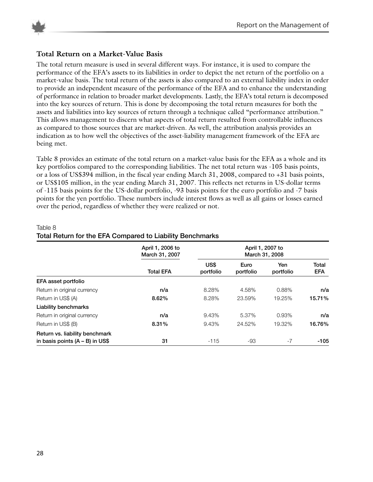

#### **Total Return on a Market-Value Basis**

The total return measure is used in several different ways. For instance, it is used to compare the performance of the EFA's assets to its liabilities in order to depict the net return of the portfolio on a market-value basis. The total return of the assets is also compared to an external liability index in order to provide an independent measure of the performance of the EFA and to enhance the understanding of performance in relation to broader market developments. Lastly, the EFA's total return is decomposed into the key sources of return. This is done by decomposing the total return measures for both the assets and liabilities into key sources of return through a technique called "performance attribution." This allows management to discern what aspects of total return resulted from controllable influences as compared to those sources that are market-driven. As well, the attribution analysis provides an indication as to how well the objectives of the asset-liability management framework of the EFA are being met.

Table 8 provides an estimate of the total return on a market-value basis for the EFA as a whole and its key portfolios compared to the corresponding liabilities. The net total return was -105 basis points, or a loss of US\$394 million, in the fiscal year ending March 31, 2008, compared to +31 basis points, or US\$105 million, in the year ending March 31, 2007. This reflects net returns in US-dollar terms of -115 basis points for the US-dollar portfolio, -93 basis points for the euro portfolio and -7 basis points for the yen portfolio. These numbers include interest flows as well as all gains or losses earned over the period, regardless of whether they were realized or not.

|                                   | April 1, 2006 to<br>March 31, 2007 |                   |                   | April 1, 2007 to<br>March 31, 2008 |                     |
|-----------------------------------|------------------------------------|-------------------|-------------------|------------------------------------|---------------------|
|                                   | <b>Total EFA</b>                   | US\$<br>portfolio | Euro<br>portfolio | Yen<br>portfolio                   | Total<br><b>EFA</b> |
| EFA asset portfolio               |                                    |                   |                   |                                    |                     |
| Return in original currency       | n/a                                | 8.28%             | 4.58%             | 0.88%                              | n/a                 |
| Return in US\$ (A)                | 8.62%                              | 8.28%             | 23.59%            | 19.25%                             | 15.71%              |
| <b>Liability benchmarks</b>       |                                    |                   |                   |                                    |                     |
| Return in original currency       | n/a                                | 9.43%             | 5.37%             | 0.93%                              | n/a                 |
| Return in US\$ (B)                | 8.31%                              | 9.43%             | 24.52%            | 19.32%                             | 16.76%              |
| Return vs. liability benchmark    |                                    |                   |                   |                                    |                     |
| in basis points $(A - B)$ in US\$ | 31                                 | $-115$            | -93               | $-7$                               | -105                |

#### Table 8 **Total Return for the EFA Compared to Liability Benchmarks**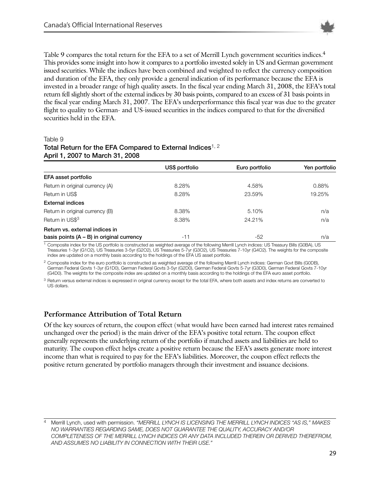

Table 9 compares the total return for the EFA to a set of Merrill Lynch government securities indices.<sup>4</sup> This provides some insight into how it compares to a portfolio invested solely in US and German government issued securities. While the indices have been combined and weighted to reflect the currency composition and duration of the EFA, they only provide a general indication of its performance because the EFA is invested in a broader range of high quality assets. In the fiscal year ending March 31, 2008, the EFA's total return fell slightly short of the external indices by 30 basis points, compared to an excess of 31 basis points in the fiscal year ending March 31, 2007. The EFA's underperformance this fiscal year was due to the greater flight to quality to German- and US-issued securities in the indices compared to that for the diversified securities held in the EFA.

#### Table 9

#### **Total Return for the EFA Compared to External Indices**1, <sup>2</sup> **April 1, 2007 to March 31, 2008**

| US\$ portfolio                              |       | Euro portfolio | Yen portfolio |
|---------------------------------------------|-------|----------------|---------------|
| EFA asset portfolio                         |       |                |               |
| Return in original currency (A)             | 8.28% | 4.58%          | 0.88%         |
| Return in US\$                              | 8.28% | 23.59%         | 19.25%        |
| <b>External indices</b>                     |       |                |               |
| Return in original currency (B)             | 8.38% | 5.10%          | n/a           |
| Return in US\$3                             | 8.38% | 24.21%         | n/a           |
| Return vs. external indices in              |       |                |               |
| basis points $(A - B)$ in original currency | $-11$ | -52            | n/a           |

<sup>1</sup> Composite index for the US portfolio is constructed as weighted average of the following Merrill Lynch indices: US Treasury Bills (G0BA), US Treasuries 1-3yr (G1O2), US Treasuries 3-5yr (G2O2), US Treasuries 5-7yr (G3O2), US Treasuries 7-10yr (G4O2). The weights for the composite index are updated on a monthly basis according to the holdings of the EFA US asset portfolio.

<sup>2</sup> Composite index for the euro portfolio is constructed as weighted average of the following Merrill Lynch indices: German Govt Bills (G0DB), German Federal Govts 1-3yr (G1D0), German Federal Govts 3-5yr (G2D0), German Federal Govts 5-7yr (G3D0), German Federal Govts 7-10yr (G4D0). The weights for the composite index are updated on a monthly basis according to the holdings of the EFA euro asset portfolio.

<sup>3</sup> Return versus external indices is expressed in original currency except for the total EFA, where both assets and index returns are converted to US dollars.

#### **Performance Attribution of Total Return**

Of the key sources of return, the coupon effect (what would have been earned had interest rates remained unchanged over the period) is the main driver of the EFA's positive total return. The coupon effect generally represents the underlying return of the portfolio if matched assets and liabilities are held to maturity. The coupon effect helps create a positive return because the EFA's assets generate more interest income than what is required to pay for the EFA's liabilities. Moreover, the coupon effect reflects the positive return generated by portfolio managers through their investment and issuance decisions.

<sup>4</sup> Merrill Lynch, used with permission. *"MERRILL LYNCH IS LICENSING THE MERRILL LYNCH INDICES "AS IS," MAKES NO WARRANTIES REGARDING SAME, DOES NOT GUARANTEE THE QUALITY, ACCURACY AND/OR COMPLETENESS OF THE MERRILL LYNCH INDICES OR ANY DATA INCLUDED THEREIN OR DERIVED THEREFROM, AND ASSUMES NO LIABILITY IN CONNECTION WITH THEIR USE."*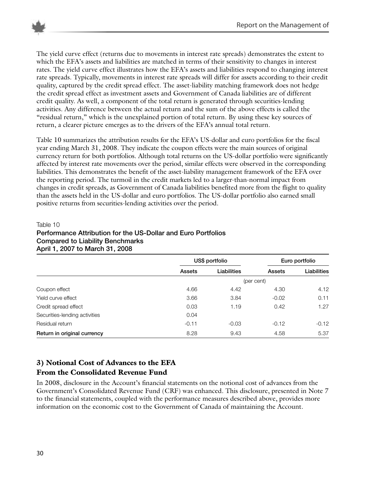

The yield curve effect (returns due to movements in interest rate spreads) demonstrates the extent to which the EFA's assets and liabilities are matched in terms of their sensitivity to changes in interest rates. The yield curve effect illustrates how the EFA's assets and liabilities respond to changing interest rate spreads. Typically, movements in interest rate spreads will differ for assets according to their credit quality, captured by the credit spread effect. The asset-liability matching framework does not hedge the credit spread effect as investment assets and Government of Canada liabilities are of different credit quality. As well, a component of the total return is generated through securities-lending activities. Any difference between the actual return and the sum of the above effects is called the "residual return," which is the unexplained portion of total return. By using these key sources of return, a clearer picture emerges as to the drivers of the EFA's annual total return.

Table 10 summarizes the attribution results for the EFA's US-dollar and euro portfolios for the fiscal year ending March 31, 2008. They indicate the coupon effects were the main sources of original currency return for both portfolios. Although total returns on the US-dollar portfolio were significantly affected by interest rate movements over the period, similar effects were observed in the corresponding liabilities. This demonstrates the benefit of the asset-liability management framework of the EFA over the reporting period. The turmoil in the credit markets led to a larger-than-normal impact from changes in credit spreads, as Government of Canada liabilities benefited more from the flight to quality than the assets held in the US-dollar and euro portfolios. The US-dollar portfolio also earned small positive returns from securities-lending activities over the period.

#### Table 10

#### **Performance Attribution for the US-Dollar and Euro Portfolios Compared to Liability Benchmarks April 1, 2007 to March 31, 2008**

|                               |         | US\$ portfolio |         | Euro portfolio |  |
|-------------------------------|---------|----------------|---------|----------------|--|
|                               | Assets  | Liabilities    | Assets  | Liabilities    |  |
|                               |         | (per cent)     |         |                |  |
| Coupon effect                 | 4.66    | 4.42           | 4.30    | 4.12           |  |
| Yield curve effect            | 3.66    | 3.84           | $-0.02$ | 0.11           |  |
| Credit spread effect          | 0.03    | 1.19           | 0.42    | 1.27           |  |
| Securities-lending activities | 0.04    |                |         |                |  |
| Residual return               | $-0.11$ | $-0.03$        | $-0.12$ | $-0.12$        |  |
| Return in original currency   | 8.28    | 9.43           | 4.58    | 5.37           |  |

#### **3) Notional Cost of Advances to the EFA From the Consolidated Revenue Fund**

In 2008, disclosure in the Account's financial statements on the notional cost of advances from the Government's Consolidated Revenue Fund (CRF) was enhanced. This disclosure, presented in Note 7 to the financial statements, coupled with the performance measures described above, provides more information on the economic cost to the Government of Canada of maintaining the Account.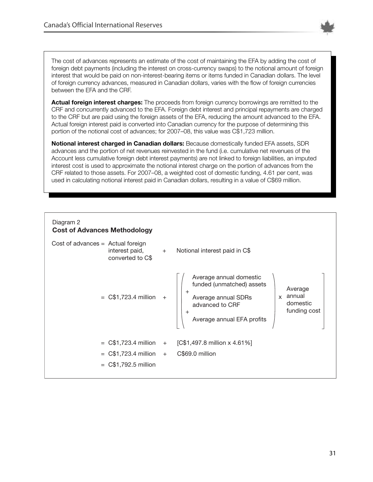

The cost of advances represents an estimate of the cost of maintaining the EFA by adding the cost of foreign debt payments (including the interest on cross-currency swaps) to the notional amount of foreign interest that would be paid on non-interest-bearing items or items funded in Canadian dollars. The level of foreign currency advances, measured in Canadian dollars, varies with the flow of foreign currencies between the EFA and the CRF.

**Actual foreign interest charges:** The proceeds from foreign currency borrowings are remitted to the CRF and concurrently advanced to the EFA. Foreign debt interest and principal repayments are charged to the CRF but are paid using the foreign assets of the EFA, reducing the amount advanced to the EFA. Actual foreign interest paid is converted into Canadian currency for the purpose of determining this portion of the notional cost of advances; for 2007–08, this value was C\$1,723 million.

**Notional interest charged in Canadian dollars:** Because domestically funded EFA assets, SDR advances and the portion of net revenues reinvested in the fund (i.e. cumulative net revenues of the Account less cumulative foreign debt interest payments) are not linked to foreign liabilities, an imputed interest cost is used to approximate the notional interest charge on the portion of advances from the CRF related to those assets. For 2007–08, a weighted cost of domestic funding, 4.61 per cent, was used in calculating notional interest paid in Canadian dollars, resulting in a value of C\$69 million.

| Diagram 2<br><b>Cost of Advances Methodology</b>                          |     |                                                                                                                                                                                                                         |
|---------------------------------------------------------------------------|-----|-------------------------------------------------------------------------------------------------------------------------------------------------------------------------------------------------------------------------|
| Cost of advances $=$ Actual foreign<br>interest paid,<br>converted to C\$ | $+$ | Notional interest paid in C\$                                                                                                                                                                                           |
| $= C$1,723.4 million$                                                     | $+$ | Average annual domestic<br>funded (unmatched) assets<br>Average<br>$\ddot{}$<br>annual<br>Average annual SDRs<br>$\mathsf{x}$<br>domestic<br>advanced to CRF<br>funding cost<br>$\ddot{}$<br>Average annual EFA profits |
|                                                                           |     | $= C$1,723.4 million + [C$1,497.8 million x 4.61%]$                                                                                                                                                                     |
| $= C$1,723.4$ million                                                     |     | + C\$69.0 million                                                                                                                                                                                                       |
| $= C$1,792.5 million$                                                     |     |                                                                                                                                                                                                                         |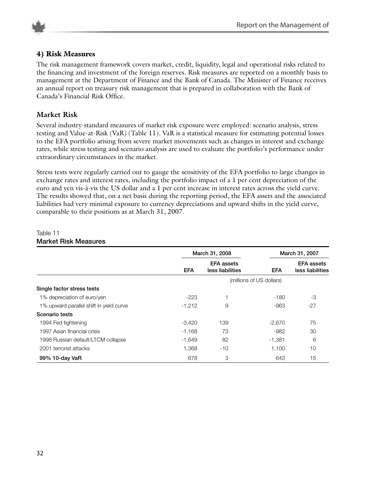



#### **4) Risk Measures**

The risk management framework covers market, credit, liquidity, legal and operational risks related to the financing and investment of the foreign reserves. Risk measures are reported on a monthly basis to management at the Department of Finance and the Bank of Canada. The Minister of Finance receives an annual report on treasury risk management that is prepared in collaboration with the Bank of Canada's Financial Risk Office.

#### **Market Risk**

Several industry-standard measures of market risk exposure were employed: scenario analysis, stress testing and Value-at-Risk (VaR) (Table 11). VaR is a statistical measure for estimating potential losses to the EFA portfolio arising from severe market movements such as changes in interest and exchange rates, while stress testing and scenario analysis are used to evaluate the portfolio's performance under extraordinary circumstances in the market.

Stress tests were regularly carried out to gauge the sensitivity of the EFA portfolio to large changes in exchange rates and interest rates, including the portfolio impact of a 1 per cent depreciation of the euro and yen vis-à-vis the US dollar and a 1 per cent increase in interest rates across the yield curve. The results showed that, on a net basis during the reporting period, the EFA assets and the associated liabilities had very minimal exposure to currency depreciations and upward shifts in the yield curve, comparable to their positions as at March 31, 2007.

|                                         |            | March 31, 2008                        |                          | March 31, 2007                        |
|-----------------------------------------|------------|---------------------------------------|--------------------------|---------------------------------------|
|                                         | <b>EFA</b> | <b>EFA</b> assets<br>less liabilities | <b>EFA</b>               | <b>EFA</b> assets<br>less liabilities |
|                                         |            |                                       | (millions of US dollars) |                                       |
| Single factor stress tests              |            |                                       |                          |                                       |
| 1% depreciation of euro/yen             | $-223$     |                                       | $-180$                   | -3                                    |
| 1% upward parallel shift in yield curve | $-1,212$   | 9                                     | $-963$                   | $-27$                                 |
| Scenario tests                          |            |                                       |                          |                                       |
| 1994 Fed tightening                     | -3.420     | 139                                   | $-2.670$                 | 75                                    |
| 1997 Asian financial crisis             | $-1,168$   | 73                                    | -982                     | 30                                    |
| 1998 Russian default/LTCM collapse      | $-1,649$   | 82                                    | $-1,381$                 | 6                                     |
| 2001 terrorist attacks                  | 1,368      | $-10$                                 | 1,100                    | 10                                    |
| 99% 10-day VaR                          | 678        | 3                                     | 643                      | 15                                    |

#### Table 11 **Market Risk Measures**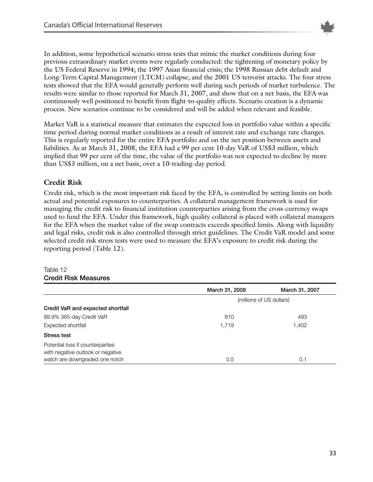

In addition, some hypothetical scenario stress tests that mimic the market conditions during four previous extraordinary market events were regularly conducted: the tightening of monetary policy by the US Federal Reserve in 1994; the 1997 Asian financial crisis; the 1998 Russian debt default and Long-Term Capital Management (LTCM) collapse; and the 2001 US terrorist attacks. The four stress tests showed that the EFA would generally perform well during such periods of market turbulence. The results were similar to those reported for March 31, 2007, and show that on a net basis, the EFA was continuously well positioned to benefit from flight-to-quality effects. Scenario creation is a dynamic process. New scenarios continue to be considered and will be added when relevant and feasible.

Market VaR is a statistical measure that estimates the expected loss in portfolio value within a specific time period during normal market conditions as a result of interest rate and exchange rate changes. This is regularly reported for the entire EFA portfolio and on the net position between assets and liabilities. As at March 31, 2008, the EFA had a 99 per cent 10-day VaR of US\$3 million, which implied that 99 per cent of the time, the value of the portfolio was not expected to decline by more than US\$3 million, on a net basis, over a 10-trading-day period.

#### **Credit Risk**

Credit risk, which is the most important risk faced by the EFA, is controlled by setting limits on both actual and potential exposures to counterparties. A collateral management framework is used for managing the credit risk to financial institution counterparties arising from the cross-currency swaps used to fund the EFA. Under this framework, high quality collateral is placed with collateral managers for the EFA when the market value of the swap contracts exceeds specified limits. Along with liquidity and legal risks, credit risk is also controlled through strict guidelines. The Credit VaR model and some selected credit risk stress tests were used to measure the EFA's exposure to credit risk during the reporting period (Table 12).

#### Table 12 **Credit Risk Measures**

|                                   | March 31, 2008 | March 31, 2007           |
|-----------------------------------|----------------|--------------------------|
|                                   |                | (millions of US dollars) |
| Credit VaR and expected shortfall |                |                          |
| 99.9% 365-day Credit VaR          | 810            | 493                      |
| Expected shortfall                | 1,719          | 1,402                    |
| Stress test                       |                |                          |
| Potential loss if counterparties  |                |                          |
| with negative outlook or negative |                |                          |
| watch are downgraded one notch    | 0.5            | 0.1                      |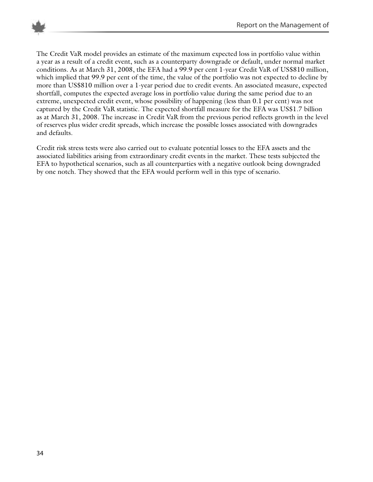

The Credit VaR model provides an estimate of the maximum expected loss in portfolio value within a year as a result of a credit event, such as a counterparty downgrade or default, under normal market conditions. As at March 31, 2008, the EFA had a 99.9 per cent 1-year Credit VaR of US\$810 million, which implied that 99.9 per cent of the time, the value of the portfolio was not expected to decline by more than US\$810 million over a 1-year period due to credit events. An associated measure, expected shortfall, computes the expected average loss in portfolio value during the same period due to an extreme, unexpected credit event, whose possibility of happening (less than 0.1 per cent) was not captured by the Credit VaR statistic. The expected shortfall measure for the EFA was US\$1.7 billion as at March 31, 2008. The increase in Credit VaR from the previous period reflects growth in the level of reserves plus wider credit spreads, which increase the possible losses associated with downgrades and defaults.

Credit risk stress tests were also carried out to evaluate potential losses to the EFA assets and the associated liabilities arising from extraordinary credit events in the market. These tests subjected the EFA to hypothetical scenarios, such as all counterparties with a negative outlook being downgraded by one notch. They showed that the EFA would perform well in this type of scenario.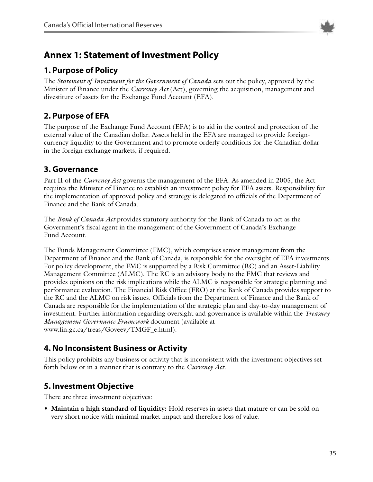

# **Annex 1: Statement of Investment Policy**

## **1. Purpose of Policy**

The *Statement of Investment for the Government of Canada* sets out the policy, approved by the Minister of Finance under the *Currency Act* (Act), governing the acquisition, management and divestiture of assets for the Exchange Fund Account (EFA).

# **2. Purpose of EFA**

The purpose of the Exchange Fund Account (EFA) is to aid in the control and protection of the external value of the Canadian dollar. Assets held in the EFA are managed to provide foreigncurrency liquidity to the Government and to promote orderly conditions for the Canadian dollar in the foreign exchange markets, if required.

## **3. Governance**

Part II of the *Currency Act* governs the management of the EFA. As amended in 2005, the Act requires the Minister of Finance to establish an investment policy for EFA assets. Responsibility for the implementation of approved policy and strategy is delegated to officials of the Department of Finance and the Bank of Canada.

The *Bank of Canada Act* provides statutory authority for the Bank of Canada to act as the Government's fiscal agent in the management of the Government of Canada's Exchange Fund Account.

The Funds Management Committee (FMC), which comprises senior management from the Department of Finance and the Bank of Canada, is responsible for the oversight of EFA investments. For policy development, the FMC is supported by a Risk Committee (RC) and an Asset-Liability Management Committee (ALMC). The RC is an advisory body to the FMC that reviews and provides opinions on the risk implications while the ALMC is responsible for strategic planning and performance evaluation. The Financial Risk Office (FRO) at the Bank of Canada provides support to the RC and the ALMC on risk issues. Officials from the Department of Finance and the Bank of Canada are responsible for the implementation of the strategic plan and day-to-day management of investment. Further information regarding oversight and governance is available within the *Treasury Management Governance Framework* document (available at www.fin.gc.ca/treas/Goveev/TMGF\_e.html).

# **4. No Inconsistent Business or Activity**

This policy prohibits any business or activity that is inconsistent with the investment objectives set forth below or in a manner that is contrary to the *Currency Act*.

# **5. Investment Objective**

There are three investment objectives:

• **Maintain a high standard of liquidity:** Hold reserves in assets that mature or can be sold on very short notice with minimal market impact and therefore loss of value.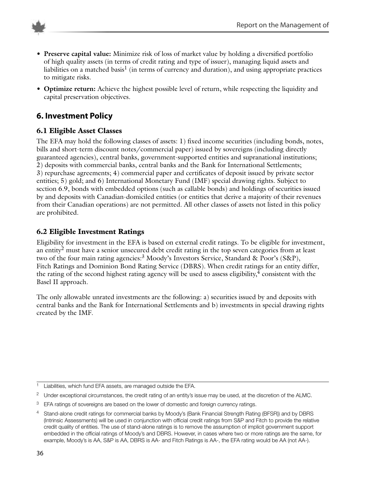

- **Preserve capital value:** Minimize risk of loss of market value by holding a diversified portfolio of high quality assets (in terms of credit rating and type of issuer), managing liquid assets and liabilities on a matched basis<sup>1</sup> (in terms of currency and duration), and using appropriate practices to mitigate risks.
- **Optimize return:** Achieve the highest possible level of return, while respecting the liquidity and capital preservation objectives.

# **6. Investment Policy**

## **6.1 Eligible Asset Classes**

The EFA may hold the following classes of assets: 1) fixed income securities (including bonds, notes, bills and short-term discount notes/commercial paper) issued by sovereigns (including directly guaranteed agencies), central banks, government-supported entities and supranational institutions; 2) deposits with commercial banks, central banks and the Bank for International Settlements; 3) repurchase agreements; 4) commercial paper and certificates of deposit issued by private sector entities; 5) gold; and 6) International Monetary Fund (IMF) special drawing rights. Subject to section 6.9, bonds with embedded options (such as callable bonds) and holdings of securities issued by and deposits with Canadian-domiciled entities (or entities that derive a majority of their revenues from their Canadian operations) are not permitted. All other classes of assets not listed in this policy are prohibited.

## **6.2 Eligible Investment Ratings**

Eligibility for investment in the EFA is based on external credit ratings. To be eligible for investment, an entity<sup>2</sup> must have a senior unsecured debt credit rating in the top seven categories from at least two of the four main rating agencies: <sup>3</sup> Moody's Investors Service, Standard & Poor's (S&P), Fitch Ratings and Dominion Bond Rating Service (DBRS). When credit ratings for an entity differ, the rating of the second highest rating agency will be used to assess eligibility,  $\frac{3}{4}$  consistent with the Basel II approach.

The only allowable unrated investments are the following: a) securities issued by and deposits with central banks and the Bank for International Settlements and b) investments in special drawing rights created by the IMF.

 $\frac{1}{1}$  Liabilities, which fund EFA assets, are managed outside the EFA.

<sup>&</sup>lt;sup>2</sup> Under exceptional circumstances, the credit rating of an entity's issue may be used, at the discretion of the ALMC.

 $3$  EFA ratings of sovereigns are based on the lower of domestic and foreign currency ratings.

<sup>4</sup> Stand-alone credit ratings for commercial banks by Moody's (Bank Financial Strength Rating (BFSR)) and by DBRS (Intrinsic Assessments) will be used in conjunction with official credit ratings from S&P and Fitch to provide the relative credit quality of entities. The use of stand-alone ratings is to remove the assumption of implicit government support embedded in the official ratings of Moody's and DBRS. However, in cases where two or more ratings are the same, for example, Moody's is AA, S&P is AA, DBRS is AA- and Fitch Ratings is AA-, the EFA rating would be AA (not AA-).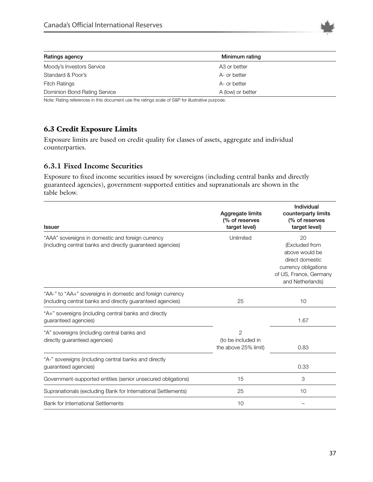

| Ratings agency               | Minimum rating    |  |
|------------------------------|-------------------|--|
| Moody's Investors Service    | A3 or better      |  |
| Standard & Poor's            | A- or better      |  |
| <b>Fitch Ratings</b>         | A- or better      |  |
| Dominion Bond Rating Service | A (low) or better |  |

Note: Rating references in this document use the ratings scale of S&P for illustrative purpose.

#### **6.3 Credit Exposure Limits**

Exposure limits are based on credit quality for classes of assets, aggregate and individual counterparties.

#### **6.3.1 Fixed Income Securities**

Exposure to fixed income securities issued by sovereigns (including central banks and directly guaranteed agencies), government-supported entities and supranationals are shown in the table below.

| <b>Issuer</b>                                                                                                            | Aggregate limits<br>(% of reserves<br>target level) | Individual<br>counterparty limits<br>(% of reserves<br>target level)                                                            |
|--------------------------------------------------------------------------------------------------------------------------|-----------------------------------------------------|---------------------------------------------------------------------------------------------------------------------------------|
| "AAA" sovereigns in domestic and foreign currency<br>(including central banks and directly guaranteed agencies)          | Unlimited                                           | 20<br>(Excluded from<br>above would be<br>direct domestic<br>currency obligations<br>of US, France, Germany<br>and Netherlands) |
| "AA-" to "AA+" sovereigns in domestic and foreign currency<br>(including central banks and directly guaranteed agencies) | 25                                                  | 10                                                                                                                              |
| "A+" sovereigns (including central banks and directly<br>guaranteed agencies)                                            |                                                     | 1.67                                                                                                                            |
| "A" sovereigns (including central banks and<br>directly guaranteed agencies)                                             | 2<br>(to be included in<br>the above 25% limit)     | 0.83                                                                                                                            |
| "A-" sovereigns (including central banks and directly<br>quaranteed agencies)                                            |                                                     | 0.33                                                                                                                            |
| Government-supported entities (senior unsecured obligations)                                                             | 15                                                  | 3                                                                                                                               |
| Supranationals (excluding Bank for International Settlements)                                                            | 25                                                  | 10                                                                                                                              |
| Bank for International Settlements                                                                                       | 10                                                  |                                                                                                                                 |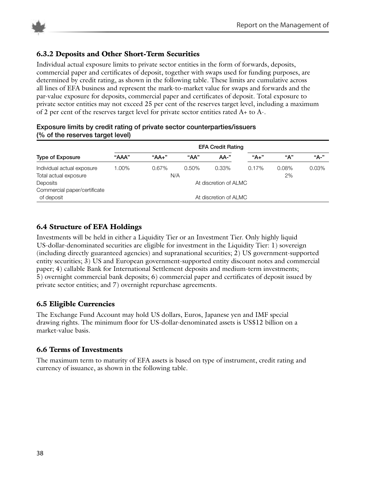



## **6.3.2 Deposits and Other Short-Term Securities**

Individual actual exposure limits to private sector entities in the form of forwards, deposits, commercial paper and certificates of deposit, together with swaps used for funding purposes, are determined by credit rating, as shown in the following table. These limits are cumulative across all lines of EFA business and represent the mark-to-market value for swaps and forwards and the par-value exposure for deposits, commercial paper and certificates of deposit. Total exposure to private sector entities may not exceed 25 per cent of the reserves target level, including a maximum of 2 per cent of the reserves target level for private sector entities rated  $A_{+}$  to  $A_{-}$ .

|                              |       |          |       | <b>EFA Credit Rating</b> |       |       |       |
|------------------------------|-------|----------|-------|--------------------------|-------|-------|-------|
| <b>Type of Exposure</b>      | "AAA" | "AA+"    | "AA"  | AA-"                     | "A+"  | "А"   | "А-"  |
| Individual actual exposure   | 1.00% | $0.67\%$ | 0.50% | 0.33%                    | 0.17% | 0.08% | 0.03% |
| Total actual exposure        |       | N/A      |       |                          |       | 2%    |       |
| Deposits                     |       |          |       | At discretion of ALMC    |       |       |       |
| Commercial paper/certificate |       |          |       |                          |       |       |       |
| of deposit                   |       |          |       | At discretion of ALMC    |       |       |       |

#### **Exposure limits by credit rating of private sector counterparties/issuers (% of the reserves target level)**

#### **6.4 Structure of EFA Holdings**

Investments will be held in either a Liquidity Tier or an Investment Tier. Only highly liquid US-dollar-denominated securities are eligible for investment in the Liquidity Tier: 1) sovereign (including directly guaranteed agencies) and supranational securities; 2) US government-supported entity securities; 3) US and European government-supported entity discount notes and commercial paper; 4) callable Bank for International Settlement deposits and medium-term investments; 5) overnight commercial bank deposits; 6) commercial paper and certificates of deposit issued by private sector entities; and 7) overnight repurchase agreements.

#### **6.5 Eligible Currencies**

The Exchange Fund Account may hold US dollars, Euros, Japanese yen and IMF special drawing rights. The minimum floor for US-dollar-denominated assets is US\$12 billion on a market-value basis.

#### **6.6 Terms of Investments**

The maximum term to maturity of EFA assets is based on type of instrument, credit rating and currency of issuance, as shown in the following table.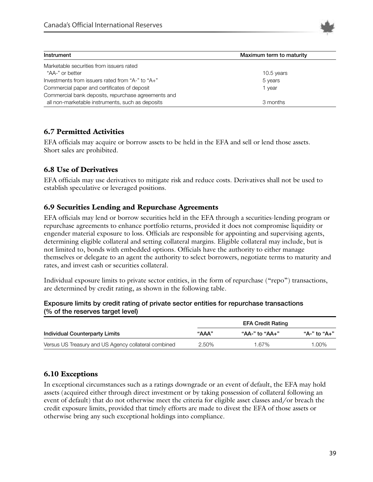

| Instrument                                          | Maximum term to maturity |
|-----------------------------------------------------|--------------------------|
| Marketable securities from issuers rated            |                          |
| "AA-" or better                                     | 10.5 years               |
| Investments from issuers rated from "A-" to "A+"    | 5 years                  |
| Commercial paper and certificates of deposit        | 1 year                   |
| Commercial bank deposits, repurchase agreements and |                          |
| all non-marketable instruments, such as deposits    | 3 months                 |

#### **6.7 Permitted Activities**

EFA officials may acquire or borrow assets to be held in the EFA and sell or lend those assets. Short sales are prohibited.

#### **6.8 Use of Derivatives**

EFA officials may use derivatives to mitigate risk and reduce costs. Derivatives shall not be used to establish speculative or leveraged positions.

#### **6.9 Securities Lending and Repurchase Agreements**

EFA officials may lend or borrow securities held in the EFA through a securities-lending program or repurchase agreements to enhance portfolio returns, provided it does not compromise liquidity or engender material exposure to loss. Officials are responsible for appointing and supervising agents, determining eligible collateral and setting collateral margins. Eligible collateral may include, but is not limited to, bonds with embedded options. Officials have the authority to either manage themselves or delegate to an agent the authority to select borrowers, negotiate terms to maturity and rates, and invest cash or securities collateral.

Individual exposure limits to private sector entities, in the form of repurchase ("repo") transactions, are determined by credit rating, as shown in the following table.

#### **Exposure limits by credit rating of private sector entities for repurchase transactions (% of the reserves target level)**

|                                                      |       | <b>EFA Credit Rating</b> |              |
|------------------------------------------------------|-------|--------------------------|--------------|
| Individual Counterparty Limits                       | "AAA" | "AA-" to "AA+"           | "A-" to "A+" |
| Versus US Treasury and US Agency collateral combined | 2.50% | 1.67%                    | $0.00\%$     |

## **6.10 Exceptions**

In exceptional circumstances such as a ratings downgrade or an event of default, the EFA may hold assets (acquired either through direct investment or by taking possession of collateral following an event of default) that do not otherwise meet the criteria for eligible asset classes and/or breach the credit exposure limits, provided that timely efforts are made to divest the EFA of those assets or otherwise bring any such exceptional holdings into compliance.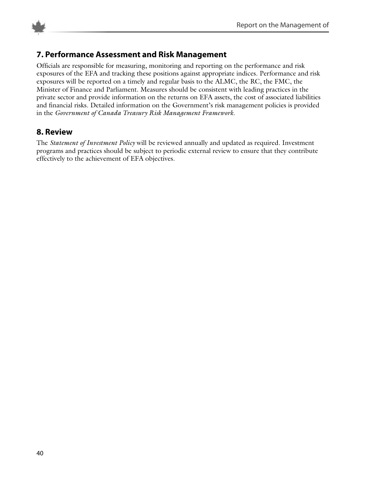

# **7. Performance Assessment and Risk Management**

Officials are responsible for measuring, monitoring and reporting on the performance and risk exposures of the EFA and tracking these positions against appropriate indices. Performance and risk exposures will be reported on a timely and regular basis to the ALMC, the RC, the FMC, the Minister of Finance and Parliament. Measures should be consistent with leading practices in the private sector and provide information on the returns on EFA assets, the cost of associated liabilities and financial risks. Detailed information on the Government's risk management policies is provided in the *Government of Canada Treasury Risk Management Framework*.

# **8. Review**

The *Statement of Investment Policy* will be reviewed annually and updated as required. Investment programs and practices should be subject to periodic external review to ensure that they contribute effectively to the achievement of EFA objectives.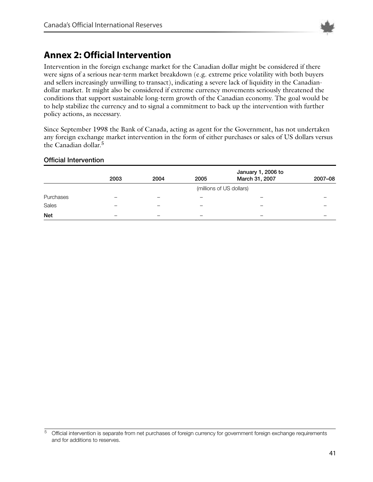

# **Annex 2: Official Intervention**

Intervention in the foreign exchange market for the Canadian dollar might be considered if there were signs of a serious near-term market breakdown (e.g. extreme price volatility with both buyers and sellers increasingly unwilling to transact), indicating a severe lack of liquidity in the Canadiandollar market. It might also be considered if extreme currency movements seriously threatened the conditions that support sustainable long-term growth of the Canadian economy. The goal would be to help stabilize the currency and to signal a commitment to back up the intervention with further policy actions, as necessary.

Since September 1998 the Bank of Canada, acting as agent for the Government, has not undertaken any foreign exchange market intervention in the form of either purchases or sales of US dollars versus the Canadian dollar. 5

#### **Official Intervention**

|            | 2003                     | 2004                     | 2005 | January 1, 2006 to<br>March 31, 2007 | 2007-08 |
|------------|--------------------------|--------------------------|------|--------------------------------------|---------|
|            |                          |                          |      | (millions of US dollars)             |         |
| Purchases  |                          |                          |      |                                      |         |
| Sales      |                          |                          | —    |                                      |         |
| <b>Net</b> | $\overline{\phantom{m}}$ | $\overline{\phantom{m}}$ |      |                                      |         |

<sup>&</sup>lt;sup>5</sup> Official intervention is separate from net purchases of foreign currency for government foreign exchange requirements and for additions to reserves.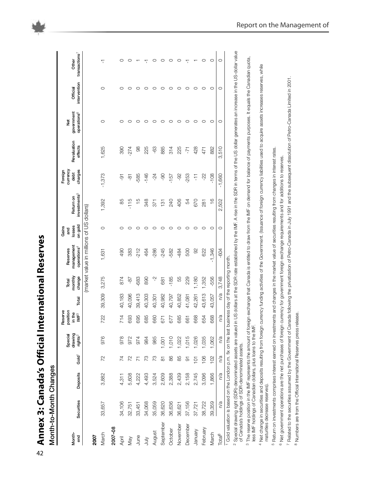Annex 3: Canada's Official International Reserves **Annex 3: Canada's Official International Reserves**

Month-to-Month Changes **Month-to-Month Changes**

4 2

|                    |                                                               |                 |                   |                                  | Reserve                                |        |                                     | Reserves                                                                                                                                                                                                 | Gains                    |                                       | Foreign                     |                        | ĕ                                     |                          |                                    |
|--------------------|---------------------------------------------------------------|-----------------|-------------------|----------------------------------|----------------------------------------|--------|-------------------------------------|----------------------------------------------------------------------------------------------------------------------------------------------------------------------------------------------------------|--------------------------|---------------------------------------|-----------------------------|------------------------|---------------------------------------|--------------------------|------------------------------------|
| Month-<br>end      | Securities                                                    | <b>Deposits</b> | Gold <sup>1</sup> | drawing<br>$rights^2$<br>Special | position<br>in the<br>$\mathsf{IMF}^3$ | Total  | monthly<br>change<br>Total          | management<br>operations <sup>4</sup>                                                                                                                                                                    | on gold<br>losses<br>and | investments <sup>5</sup><br>Return on | currency<br>charges<br>debt | Revaluation<br>effects | government<br>operations <sup>6</sup> | intervention<br>Official | transactions <sup>7</sup><br>Other |
|                    |                                                               |                 |                   |                                  |                                        |        |                                     | (market value in millions of US dollars)                                                                                                                                                                 |                          |                                       |                             |                        |                                       |                          |                                    |
| 2007               |                                                               |                 |                   |                                  |                                        |        |                                     |                                                                                                                                                                                                          |                          |                                       |                             |                        |                                       |                          |                                    |
| March              | 33,657                                                        | 3,882           | 72                | 976                              | 722                                    | 39,309 | 3,275                               | 1,631                                                                                                                                                                                                    | 0                        | 1,392                                 | $-1,373$                    | 1,625                  | 0                                     | O                        | 7                                  |
| 2007-08            |                                                               |                 |                   |                                  |                                        |        |                                     |                                                                                                                                                                                                          |                          |                                       |                             |                        |                                       |                          |                                    |
| April              | 34,106                                                        | 4,311           | 74                | 978                              | 714                                    | 40,183 | 874                                 | 490                                                                                                                                                                                                      |                          | 85                                    | $\overline{9}$              | 390                    |                                       |                          | ⊂                                  |
| Nay                | 32,751                                                        | 5,608           | 22                | 972                              | 693                                    | 40,096 | $-8-$                               | 383                                                                                                                                                                                                      |                          | $-115$                                | နှ                          | $-274$                 |                                       |                          |                                    |
| June               | 33,451                                                        | 4,222           |                   | 974                              | 695                                    | 39,413 | $-683$                              | $-212$                                                                                                                                                                                                   |                          | $\frac{5}{1}$                         | -585                        | 88                     |                                       |                          |                                    |
| 与<br>人             | 34,068                                                        | 4,493           | 73                | 984                              | 685                                    | 40,303 | 890                                 | 464                                                                                                                                                                                                      |                          | 348                                   | $-146$                      | 225                    |                                       |                          |                                    |
| August             | 35,059                                                        | 3,524           | 73                | 985                              | 660                                    | 40,301 | Ņ                                   | $-286$                                                                                                                                                                                                   |                          | 371                                   | $-24$                       | -63                    |                                       |                          |                                    |
| September          | 36,620                                                        | 2,609           | 5                 | 1,001                            | 671                                    | 40,982 | 681                                 | $-245$                                                                                                                                                                                                   |                          | $\frac{1}{3}$                         | 90                          | 885                    |                                       |                          |                                    |
| October            | 36,636                                                        | 2,388           | 86                | 1,010                            | 677                                    | 40,797 | $-185$                              | $-582$                                                                                                                                                                                                   |                          | <b>240</b>                            | $-157$                      | 314                    | 0                                     |                          |                                    |
| November           | 36,621                                                        | 2,439           | 85                | 1,022                            | 685                                    | 40,852 | 55                                  | $-484$                                                                                                                                                                                                   |                          | 406                                   | -92                         | 225                    | 0                                     |                          | c                                  |
| December           | 37,156                                                        | 2,158           | 5                 | 1,015                            | 661                                    | 41,081 | 229                                 | 500                                                                                                                                                                                                      |                          | 54                                    | $-253$                      | -71                    |                                       |                          |                                    |
| January            | 37,721                                                        | 2,745           | $\overline{C}$    | 1,026                            | 668                                    | 42,261 | 1,180                               | 92                                                                                                                                                                                                       |                          | 670                                   | H                           | 428                    | O                                     |                          |                                    |
| February           | 38,722                                                        | 3,096           | 106               | 1,035                            | 654                                    | 43,613 | 1,352                               | 622                                                                                                                                                                                                      |                          | 281                                   | $-22$                       | 471                    | O                                     |                          | O                                  |
| March              | 39,359                                                        | 1,866           | 102               | 1,062                            | 668                                    | 43,057 | $-556$                              | $-1,346$                                                                                                                                                                                                 | O                        | $\frac{6}{1}$                         | $-108$                      | 882                    | O                                     | 0                        | O                                  |
| Total <sup>8</sup> | n/a                                                           | n/a             | n/a               | n/a                              | n/a                                    | n/a    | 3,748                               | $-604$                                                                                                                                                                                                   | O                        | 2,502                                 | $-1,660$                    | 3,510                  | O                                     | O                        | O                                  |
|                    | Gold valuation is based on the London p.m. fix on the last bu |                 |                   |                                  |                                        |        | isiness day of the reporting month. |                                                                                                                                                                                                          |                          |                                       |                             |                        |                                       |                          |                                    |
| $\sim$             | of Canada's holdings of SDR-denominated assets.               |                 |                   |                                  |                                        |        |                                     | Special drawing right (SDR)-denominated assets are valued in US dollars at the SDR rate established by the IMF. A rise in the SDR in terms of the US dollar generates an increase in the US-dollar value |                          |                                       |                             |                        |                                       |                          |                                    |

of Canada's holdings of SDR-denominated assets.

<sup>3</sup> The reserve position in the IMF represents the amount of foreign exchange that Canada is entitled to draw from the IMF on demand for balance of payments purposes. It equals the Canadian quota,<br>Iess IMF holdings of Cana <sup>3</sup> The reserve position in the IMF represents the amount of foreign exchange that Canada is entitled to draw from the IMF on demand for balance of payments purposes. It equals the Canadian quota, less IMF holdings of Canadian dollars, plus loans to the IMF.

4 Net change in securities and deposits resulting from foreign currency funding activities of the Government. (Issuance of foreign currency liabilities used to acquire assets increases reserves, while 4 Net change in securities and deposits resulting from foreign currency funding activities of the Government. (Issuance of foreign currency liabilities used to acquire assets increases reserves, while maturities decrease reserves). maturities decrease reserves).

<sup>5</sup> Return on investments comprises interest earned on investments and changes in the market value of securities resulting from changes in interest rates. Return on investments comprises interest earned on investments and changes in the market value of securities resulting from changes in interest rates.

<sup>6</sup> Net government operations are the net purchases of foreign currency for government foreign exchange requirements and for additions to reserves. Net government operations are the net purchases of foreign currency for government foreign exchange requirements and for additions to reserves.

7 Related to the securities assumed by the Government of Canada following the privatization of Petro-Canada in July 1991 and the subsequent dissolution of Petro-Canada Limited in 2001. Related to the securities assumed by the Government of Canada following the privatization of Petro-Canada in July 1991 and the subsequent dissolution of Petro-Canada Limited in 2001.

<sup>8</sup> Numbers are from the Official International Reserves press release. Numbers are from the Official International Reserves press release.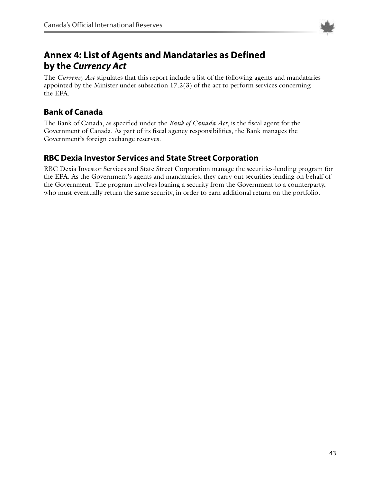

# **Annex 4: List of Agents and Mandataries as Defined by the** *Currency Act*

The *Currency Act* stipulates that this report include a list of the following agents and mandataries appointed by the Minister under subsection  $17.2(3)$  of the act to perform services concerning the EFA.

# **Bank of Canada**

The Bank of Canada, as specified under the *Bank of Canada Act*, is the fiscal agent for the Government of Canada. As part of its fiscal agency responsibilities, the Bank manages the Government's foreign exchange reserves.

# **RBC Dexia Investor Services and State Street Corporation**

RBC Dexia Investor Services and State Street Corporation manage the securities-lending program for the EFA. As the Government's agents and mandataries, they carry out securities lending on behalf of the Government. The program involves loaning a security from the Government to a counterparty, who must eventually return the same security, in order to earn additional return on the portfolio.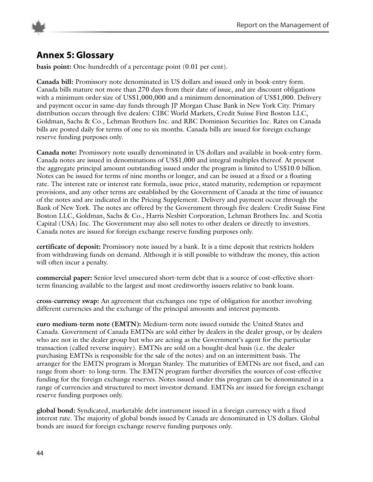

# **Annex 5: Glossary**

**basis point:** One-hundredth of a percentage point (0.01 per cent).

**Canada bill:** Promissory note denominated in US dollars and issued only in book-entry form. Canada bills mature not more than 270 days from their date of issue, and are discount obligations with a minimum order size of US\$1,000,000 and a minimum denomination of US\$1,000. Delivery and payment occur in same-day funds through JP Morgan Chase Bank in New York City. Primary distribution occurs through five dealers: CIBC World Markets, Credit Suisse First Boston LLC, Goldman, Sachs & Co., Lehman Brothers Inc. and RBC Dominion Securities Inc. Rates on Canada bills are posted daily for terms of one to six months. Canada bills are issued for foreign exchange reserve funding purposes only.

**Canada note:** Promissory note usually denominated in US dollars and available in book-entry form. Canada notes are issued in denominations of US\$1,000 and integral multiples thereof. At present the aggregate principal amount outstanding issued under the program is limited to US\$10.0 billion. Notes can be issued for terms of nine months or longer, and can be issued at a fixed or a floating rate. The interest rate or interest rate formula, issue price, stated maturity, redemption or repayment provisions, and any other terms are established by the Government of Canada at the time of issuance of the notes and are indicated in the Pricing Supplement. Delivery and payment occur through the Bank of New York. The notes are offered by the Government through five dealers: Credit Suisse First Boston LLC, Goldman, Sachs & Co., Harris Nesbitt Corporation, Lehman Brothers Inc. and Scotia Capital (USA) Inc. The Government may also sell notes to other dealers or directly to investors. Canada notes are issued for foreign exchange reserve funding purposes only.

**certificate of deposit:** Promissory note issued by a bank. It is a time deposit that restricts holders from withdrawing funds on demand. Although it is still possible to withdraw the money, this action will often incur a penalty.

**commercial paper:** Senior level unsecured short-term debt that is a source of cost-effective shortterm financing available to the largest and most creditworthy issuers relative to bank loans.

**cross-currency swap:** An agreement that exchanges one type of obligation for another involving different currencies and the exchange of the principal amounts and interest payments.

**euro medium-term note (EMTN):** Medium-term note issued outside the United States and Canada. Government of Canada EMTNs are sold either by dealers in the dealer group, or by dealers who are not in the dealer group but who are acting as the Government's agent for the particular transaction (called reverse inquiry). EMTNs are sold on a bought-deal basis (i.e. the dealer purchasing EMTNs is responsible for the sale of the notes) and on an intermittent basis. The arranger for the EMTN program is Morgan Stanley. The maturities of EMTNs are not fixed, and can range from short- to long-term. The EMTN program further diversifies the sources of cost-effective funding for the foreign exchange reserves. Notes issued under this program can be denominated in a range of currencies and structured to meet investor demand. EMTNs are issued for foreign exchange reserve funding purposes only.

**global bond:** Syndicated, marketable debt instrument issued in a foreign currency with a fixed interest rate. The majority of global bonds issued by Canada are denominated in US dollars. Global bonds are issued for foreign exchange reserve funding purposes only.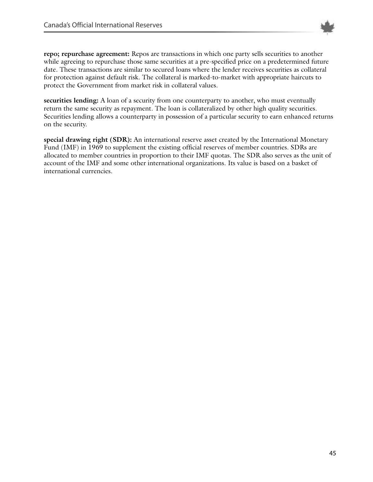

**repo; repurchase agreement:** Repos are transactions in which one party sells securities to another while agreeing to repurchase those same securities at a pre-specified price on a predetermined future date. These transactions are similar to secured loans where the lender receives securities as collateral for protection against default risk. The collateral is marked-to-market with appropriate haircuts to protect the Government from market risk in collateral values.

**securities lending:** A loan of a security from one counterparty to another, who must eventually return the same security as repayment. The loan is collateralized by other high quality securities. Securities lending allows a counterparty in possession of a particular security to earn enhanced returns on the security.

**special drawing right (SDR):** An international reserve asset created by the International Monetary Fund (IMF) in 1969 to supplement the existing official reserves of member countries. SDRs are allocated to member countries in proportion to their IMF quotas. The SDR also serves as the unit of account of the IMF and some other international organizations. Its value is based on a basket of international currencies.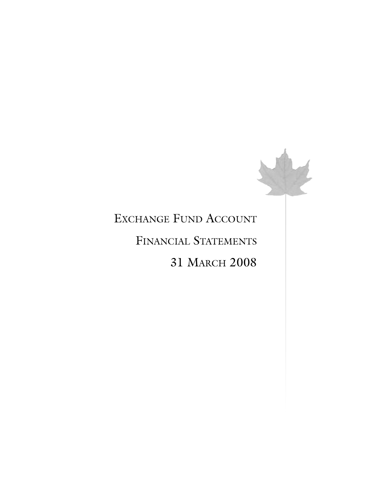

# EXCHANGE FUND ACCOUNT

# FINANCIAL STATEMENTS

# 31 MARCH 2008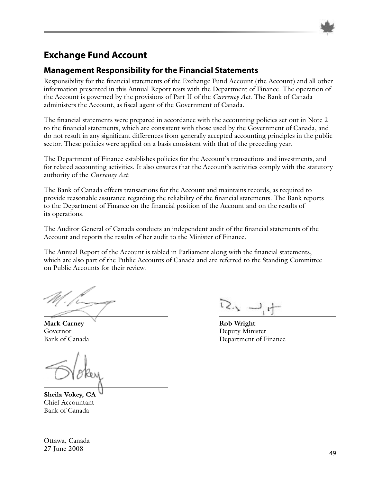# **Management Responsibility for the Financial Statements**

Responsibility for the financial statements of the Exchange Fund Account (the Account) and all other information presented in this Annual Report rests with the Department of Finance. The operation of the Account is governed by the provisions of Part II of the *Currency Act*. The Bank of Canada administers the Account, as fiscal agent of the Government of Canada.

The financial statements were prepared in accordance with the accounting policies set out in Note 2 to the financial statements, which are consistent with those used by the Government of Canada, and do not result in any significant differences from generally accepted accounting principles in the public sector. These policies were applied on a basis consistent with that of the preceding year.

The Department of Finance establishes policies for the Account's transactions and investments, and for related accounting activities. It also ensures that the Account's activities comply with the statutory authority of the *Currency Act*.

The Bank of Canada effects transactions for the Account and maintains records, as required to provide reasonable assurance regarding the reliability of the financial statements. The Bank reports to the Department of Finance on the financial position of the Account and on the results of its operations.

The Auditor General of Canada conducts an independent audit of the financial statements of the Account and reports the results of her audit to the Minister of Finance.

The Annual Report of the Account is tabled in Parliament along with the financial statements, which are also part of the Public Accounts of Canada and are referred to the Standing Committee on Public Accounts for their review.

**Mark Carney Rob** Wright Governor Deputy Minister

**Sheila Vokey, CA** Chief Accountant Bank of Canada

トーム

Bank of Canada Department of Finance

Ottawa, Canada  $27 \text{ June } 2008$  49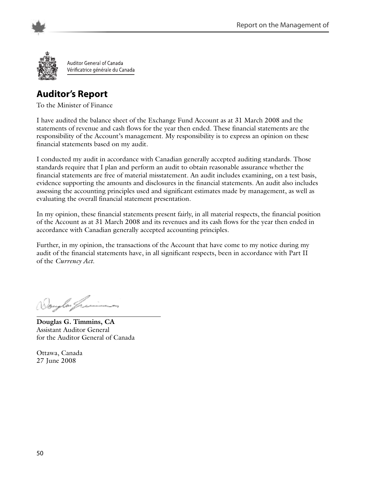

Auditor General of Canada Vérificatrice générale du Canada

# **Auditor's Report**

To the Minister of Finance

I have audited the balance sheet of the Exchange Fund Account as at 31 March 2008 and the statements of revenue and cash flows for the year then ended. These financial statements are the responsibility of the Account's management. My responsibility is to express an opinion on these financial statements based on my audit.

I conducted my audit in accordance with Canadian generally accepted auditing standards. Those standards require that I plan and perform an audit to obtain reasonable assurance whether the financial statements are free of material misstatement. An audit includes examining, on a test basis, evidence supporting the amounts and disclosures in the financial statements. An audit also includes assessing the accounting principles used and significant estimates made by management, as well as evaluating the overall financial statement presentation.

In my opinion, these financial statements present fairly, in all material respects, the financial position of the Account as at 31 March 2008 and its revenues and its cash flows for the year then ended in accordance with Canadian generally accepted accounting principles.

Further, in my opinion, the transactions of the Account that have come to my notice during my audit of the financial statements have, in all significant respects, been in accordance with Part II of the *Currency Act*.

(Souglor Jr.

**Douglas G. Timmins, CA** Assistant Auditor General for the Auditor General of Canada

Ottawa, Canada 27 June 2008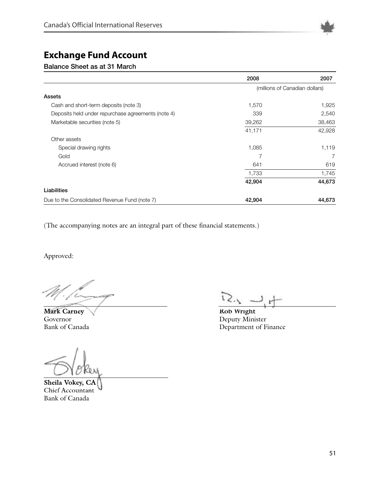

#### **Balance Sheet as at 31 March**

|                                                    | 2008   | 2007                           |
|----------------------------------------------------|--------|--------------------------------|
|                                                    |        | (millions of Canadian dollars) |
| Assets                                             |        |                                |
| Cash and short-term deposits (note 3)              | 1,570  | 1,925                          |
| Deposits held under repurchase agreements (note 4) | 339    | 2,540                          |
| Marketable securities (note 5)                     | 39,262 | 38,463                         |
|                                                    | 41,171 | 42,928                         |
| Other assets                                       |        |                                |
| Special drawing rights                             | 1,085  | 1,119                          |
| Gold                                               | 7      | 7                              |
| Accrued interest (note 6)                          | 641    | 619                            |
|                                                    | 1,733  | 1,745                          |
|                                                    | 42,904 | 44,673                         |
| Liabilities                                        |        |                                |
| Due to the Consolidated Revenue Fund (note 7)      | 42,904 | 44,673                         |

(The accompanying notes are an integral part of these financial statements.)

Approved:

**Mark Carney Rob Rob Rob Wright** Governor Deputy Minister

**Sheila Vokey, CA** Chief Accountant Bank of Canada

Bank of Canada Department of Finance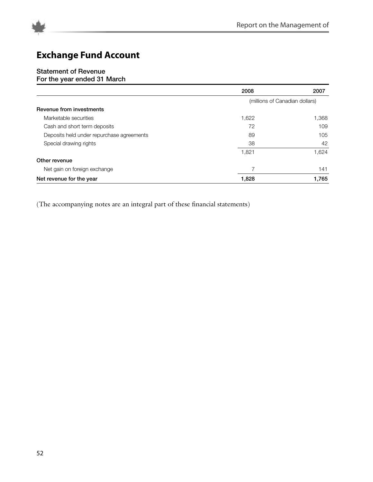



#### **Statement of Revenue**

**For the year ended 31 March**

|                                           | 2008                           | 2007  |
|-------------------------------------------|--------------------------------|-------|
|                                           | (millions of Canadian dollars) |       |
| Revenue from investments                  |                                |       |
| Marketable securities                     | 1,622                          | 1,368 |
| Cash and short term deposits              | 72                             | 109   |
| Deposits held under repurchase agreements | 89                             | 105   |
| Special drawing rights                    | 38                             | 42    |
|                                           | 1,821                          | 1,624 |
| Other revenue                             |                                |       |
| Net gain on foreign exchange              |                                | 141   |
| Net revenue for the year                  | 1,828                          | 1,765 |

(The accompanying notes are an integral part of these financial statements)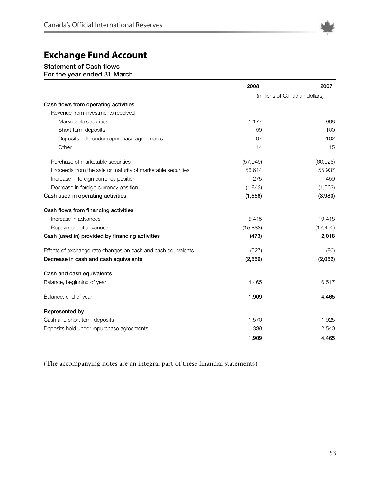

# **Statement of Cash flows**

**For the year ended 31 March**

|                                                               | 2008      | 2007                           |
|---------------------------------------------------------------|-----------|--------------------------------|
|                                                               |           | (millions of Canadian dollars) |
| Cash flows from operating activities                          |           |                                |
| Revenue from investments received                             |           |                                |
| Marketable securities                                         | 1,177     | 998                            |
| Short term deposits                                           | 59        | 100                            |
| Deposits held under repurchase agreements                     | 97        | 102                            |
| Other                                                         | 14        | 15                             |
| Purchase of marketable securities                             | (57, 949) | (60, 028)                      |
| Proceeds from the sale or maturity of marketable securities   | 56,614    | 55,937                         |
| Increase in foreign currency position                         | 275       | 459                            |
| Decrease in foreign currency position                         | (1, 843)  | (1, 563)                       |
| Cash used in operating activities                             | (1, 556)  | (3,980)                        |
| Cash flows from financing activities                          |           |                                |
| Increase in advances                                          | 15,415    | 19,418                         |
| Repayment of advances                                         | (15,888)  | (17, 400)                      |
| Cash (used in) provided by financing activities               | (473)     | 2,018                          |
| Effects of exchange rate changes on cash and cash equivalents | (527)     | (90)                           |
| Decrease in cash and cash equivalents                         | (2, 556)  | (2,052)                        |
| Cash and cash equivalents                                     |           |                                |
| Balance, beginning of year                                    | 4,465     | 6,517                          |
| Balance, end of year                                          | 1,909     | 4,465                          |
| Represented by                                                |           |                                |
| Cash and short term deposits                                  | 1,570     | 1,925                          |
| Deposits held under repurchase agreements                     | 339       | 2,540                          |
|                                                               | 1,909     | 4.465                          |

(The accompanying notes are an integral part of these financial statements)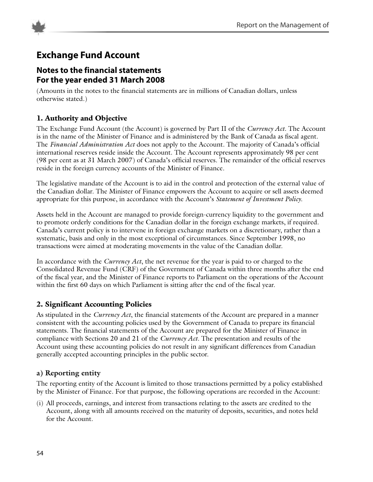

## **Notes to the financial statements For the year ended 31 March 2008**

(Amounts in the notes to the financial statements are in millions of Canadian dollars, unless otherwise stated.)

## **1. Authority and Objective**

The Exchange Fund Account (the Account) is governed by Part II of the *Currency Act*. The Account is in the name of the Minister of Finance and is administered by the Bank of Canada as fiscal agent. The *Financial Administration Act* does not apply to the Account. The majority of Canada's official international reserves reside inside the Account. The Account represents approximately 98 per cent (98 per cent as at 31 March 2007) of Canada's official reserves. The remainder of the official reserves reside in the foreign currency accounts of the Minister of Finance.

The legislative mandate of the Account is to aid in the control and protection of the external value of the Canadian dollar. The Minister of Finance empowers the Account to acquire or sell assets deemed appropriate for this purpose, in accordance with the Account's *Statement of Investment Policy*.

Assets held in the Account are managed to provide foreign-currency liquidity to the government and to promote orderly conditions for the Canadian dollar in the foreign exchange markets, if required. Canada's current policy is to intervene in foreign exchange markets on a discretionary, rather than a systematic, basis and only in the most exceptional of circumstances. Since September 1998, no transactions were aimed at moderating movements in the value of the Canadian dollar.

In accordance with the *Currency Act*, the net revenue for the year is paid to or charged to the Consolidated Revenue Fund (CRF) of the Government of Canada within three months after the end of the fiscal year, and the Minister of Finance reports to Parliament on the operations of the Account within the first 60 days on which Parliament is sitting after the end of the fiscal year.

## **2. Significant Accounting Policies**

As stipulated in the *Currency Act*, the financial statements of the Account are prepared in a manner consistent with the accounting policies used by the Government of Canada to prepare its financial statements. The financial statements of the Account are prepared for the Minister of Finance in compliance with Sections 20 and 21 of the *Currency Act*. The presentation and results of the Account using these accounting policies do not result in any significant differences from Canadian generally accepted accounting principles in the public sector.

## **a) Reporting entity**

The reporting entity of the Account is limited to those transactions permitted by a policy established by the Minister of Finance. For that purpose, the following operations are recorded in the Account:

(i) All proceeds, earnings, and interest from transactions relating to the assets are credited to the Account, along with all amounts received on the maturity of deposits, securities, and notes held for the Account.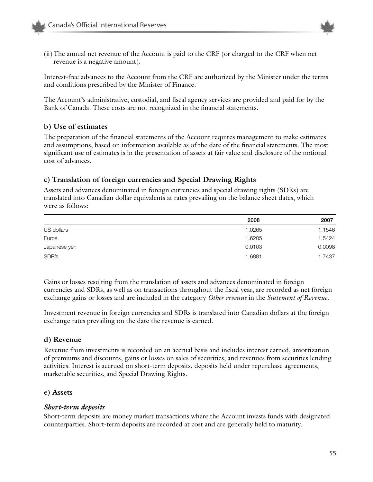

(ii) The annual net revenue of the Account is paid to the CRF (or charged to the CRF when net revenue is a negative amount).

Interest-free advances to the Account from the CRF are authorized by the Minister under the terms and conditions prescribed by the Minister of Finance.

The Account's administrative, custodial, and fiscal agency services are provided and paid for by the Bank of Canada. These costs are not recognized in the financial statements.

#### **b) Use of estimates**

The preparation of the financial statements of the Account requires management to make estimates and assumptions, based on information available as of the date of the financial statements. The most significant use of estimates is in the presentation of assets at fair value and disclosure of the notional cost of advances.

#### **c) Translation of foreign currencies and Special Drawing Rights**

Assets and advances denominated in foreign currencies and special drawing rights (SDRs) are translated into Canadian dollar equivalents at rates prevailing on the balance sheet dates, which were as follows:

|              | 2008   | 2007   |
|--------------|--------|--------|
| US dollars   | 1.0265 | 1.1546 |
| Euros        | 1.6205 | 1.5424 |
| Japanese yen | 0.0103 | 0.0098 |
| SDR's        | 1.6881 | 1.7437 |

Gains or losses resulting from the translation of assets and advances denominated in foreign currencies and SDRs, as well as on transactions throughout the fiscal year, are recorded as net foreign exchange gains or losses and are included in the category *Other revenue* in the *Statement of Revenue*.

Investment revenue in foreign currencies and SDRs is translated into Canadian dollars at the foreign exchange rates prevailing on the date the revenue is earned.

#### **d) Revenue**

Revenue from investments is recorded on an accrual basis and includes interest earned, amortization of premiums and discounts, gains or losses on sales of securities, and revenues from securities lending activities. Interest is accrued on short-term deposits, deposits held under repurchase agreements, marketable securities, and Special Drawing Rights.

#### **e) Assets**

#### *Short-term deposits*

Short-term deposits are money market transactions where the Account invests funds with designated counterparties. Short-term deposits are recorded at cost and are generally held to maturity.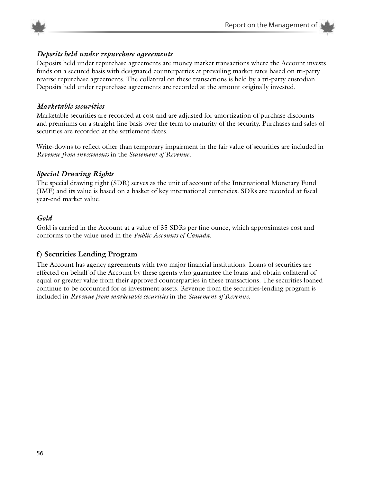



#### *Deposits held under repurchase agreements*

Deposits held under repurchase agreements are money market transactions where the Account invests funds on a secured basis with designated counterparties at prevailing market rates based on tri-party reverse repurchase agreements. The collateral on these transactions is held by a tri-party custodian. Deposits held under repurchase agreements are recorded at the amount originally invested.

#### *Marketable securities*

Marketable securities are recorded at cost and are adjusted for amortization of purchase discounts and premiums on a straight-line basis over the term to maturity of the security. Purchases and sales of securities are recorded at the settlement dates.

Write-downs to reflect other than temporary impairment in the fair value of securities are included in *Revenue from investments* in the *Statement of Revenue*.

#### *Special Drawing Rights*

The special drawing right (SDR) serves as the unit of account of the International Monetary Fund (IMF) and its value is based on a basket of key international currencies. SDRs are recorded at fiscal year-end market value.

#### *Gold*

Gold is carried in the Account at a value of 35 SDRs per fine ounce, which approximates cost and conforms to the value used in the *Public Accounts of Canada*.

#### **f) Securities Lending Program**

The Account has agency agreements with two major financial institutions. Loans of securities are effected on behalf of the Account by these agents who guarantee the loans and obtain collateral of equal or greater value from their approved counterparties in these transactions. The securities loaned continue to be accounted for as investment assets. Revenue from the securities-lending program is included in *Revenue from marketable securities* in the *Statement of Revenue*.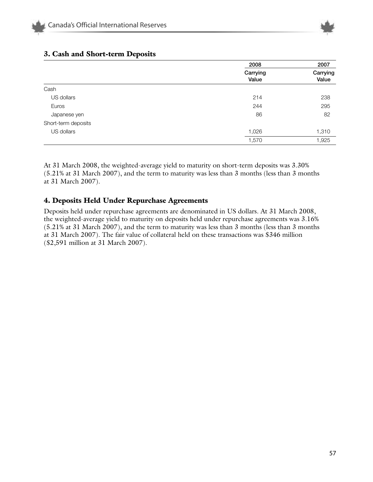

|                     | 2008              | 2007              |
|---------------------|-------------------|-------------------|
|                     | Carrying<br>Value | Carrying<br>Value |
| Cash                |                   |                   |
| US dollars          | 214               | 238               |
| Euros               | 244               | 295               |
| Japanese yen        | 86                | 82                |
| Short-term deposits |                   |                   |
| US dollars          | 1,026             | 1,310             |
|                     | 1,570             | 1,925             |

#### **3. Cash and Short-term Deposits**

At 31 March 2008, the weighted-average yield to maturity on short-term deposits was 3.30% (5.21% at 31 March 2007), and the term to maturity was less than 3 months (less than 3 months at 31 March 2007).

#### **4. Deposits Held Under Repurchase Agreements**

Deposits held under repurchase agreements are denominated in US dollars. At 31 March 2008, the weighted-average yield to maturity on deposits held under repurchase agreements was 3.16% (5.21% at 31 March 2007), and the term to maturity was less than 3 months (less than 3 months at 31 March 2007). The fair value of collateral held on these transactions was \$346 million (\$2,591 million at 31 March 2007).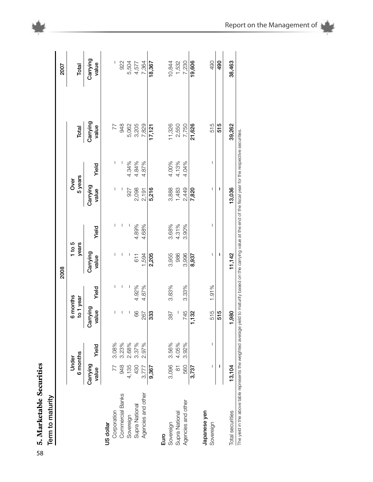|                          |                   |       |                       |       | 2008              |       |                   |       |                   | 2007              |
|--------------------------|-------------------|-------|-----------------------|-------|-------------------|-------|-------------------|-------|-------------------|-------------------|
|                          | 6 months<br>Under |       | 6 months<br>to 1 year |       | 1 to 5<br>years   |       | 5 years<br>Over   |       | Total             | Total             |
|                          | Carrying<br>value | Yield | Carrying<br>value     | Yield | Carrying<br>value | Yield | Carrying<br>value | Yield | Carrying<br>value | Carrying<br>value |
| Corporation<br>US dollar | 77                | 3.08% | T                     | T     | I                 | I     | I                 | I     | 77                | I                 |
| Commercial Banks         | 948               | 3.23% | I                     | I     | I                 | I     | I                 | I     | 948               | 922               |
| Sovereign                | 4,135             | 2.68% | I                     | I     | I                 | I     | 927               | 4.34% |                   | 5,504             |
| Supra National           | 430               | 3.37% | 89                    | 4.92% | 611               | 4.89% | 2,098             | 4.84% | 5,062<br>3,205    | 4,577             |
| Agencies and other       | 3,777             | 2.97% | 267                   | 4.87% | 1,594             | 4.68% | 2,191             | 4.87% | 7,829             | 7,364             |
|                          | 9,367             |       | 333                   |       | 2,205             |       | 5,216             |       | 17,121            | 18,367            |
| Euro                     |                   |       |                       |       |                   |       |                   |       |                   |                   |
| Sovereign                | 3,096             | 3.56% | 387                   | 3.83% | 3,955             | 3.68% | 3,888             | 4.00% | 11,326            | 10,844            |
| Supra National           | $\overline{5}$    | 4.05% |                       |       | 986               | 4.31% | 1,483             | 4.13% | 2,550             | 1,532             |
| Agencies and other       | 560               | 3.92% | 745                   | 3.33% | 3,996             | 3.90% | 2,449             | 4.04% | 7,750             | 7,230             |
|                          | 3,737             |       | 132                   |       | 8,937             |       | 7,820             |       | 21,626            | 19,606            |
| Japanese yen             |                   |       |                       |       |                   |       |                   |       |                   |                   |
| Sovereign                | I                 | I     | 515                   | 1.91% | I                 | I     | I                 | I     | 515               | 490               |
|                          | ı                 |       | 515                   |       | ı                 |       | I                 |       | 515               | 490               |
| Total securities         | 13,104            |       | ,980                  |       | 11,142            |       | 13,036            |       | 39,262            | 38,463            |

5 8**5. Marketable Securities**

5. Marketable Securities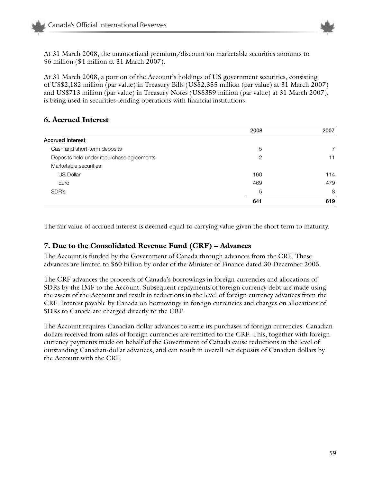

At 31 March 2008, the unamortized premium/discount on marketable securities amounts to \$6 million (\$4 million at 31 March 2007).

At 31 March 2008, a portion of the Account's holdings of US government securities, consisting of US\$2,182 million (par value) in Treasury Bills (US\$2,355 million (par value) at 31 March 2007) and US\$713 million (par value) in Treasury Notes (US\$359 million (par value) at 31 March 2007), is being used in securities-lending operations with financial institutions.

#### **6. Accrued Interest**

|                                           | 2008 | 2007 |
|-------------------------------------------|------|------|
| <b>Accrued interest</b>                   |      |      |
| Cash and short-term deposits              | 5    |      |
| Deposits held under repurchase agreements | 2    | 11   |
| Marketable securities                     |      |      |
| <b>US Dollar</b>                          | 160  | 114  |
| Euro                                      | 469  | 479  |
| SDR's                                     | 5    | 8    |
|                                           | 641  | 619  |

The fair value of accrued interest is deemed equal to carrying value given the short term to maturity.

#### **7. Due to the Consolidated Revenue Fund (CRF) – Advances**

The Account is funded by the Government of Canada through advances from the CRF. These advances are limited to \$60 billion by order of the Minister of Finance dated 30 December 2005.

The CRF advances the proceeds of Canada's borrowings in foreign currencies and allocations of SDRs by the IMF to the Account. Subsequent repayments of foreign currency debt are made using the assets of the Account and result in reductions in the level of foreign currency advances from the CRF. Interest payable by Canada on borrowings in foreign currencies and charges on allocations of SDRs to Canada are charged directly to the CRF.

The Account requires Canadian dollar advances to settle its purchases of foreign currencies. Canadian dollars received from sales of foreign currencies are remitted to the CRF. This, together with foreign currency payments made on behalf of the Government of Canada cause reductions in the level of outstanding Canadian-dollar advances, and can result in overall net deposits of Canadian dollars by the Account with the CRF.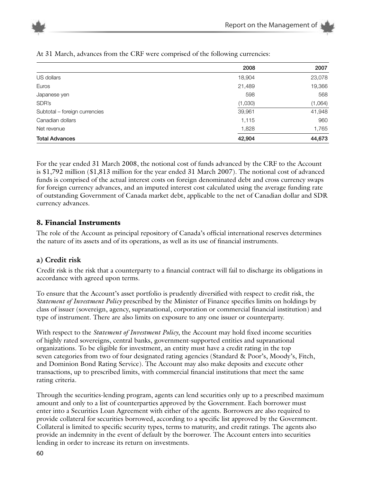

|                               | 2008    | 2007    |
|-------------------------------|---------|---------|
| US dollars                    | 18,904  | 23,078  |
| Euros                         | 21,489  | 19,366  |
| Japanese yen                  | 598     | 568     |
| SDR's                         | (1,030) | (1,064) |
| Subtotal - foreign currencies | 39,961  | 41,948  |
| Canadian dollars              | 1,115   | 960     |
| Net revenue                   | 1,828   | 1,765   |
| <b>Total Advances</b>         | 42,904  | 44,673  |

At 31 March, advances from the CRF were comprised of the following currencies:

For the year ended 31 March 2008, the notional cost of funds advanced by the CRF to the Account is \$1,792 million (\$1,813 million for the year ended 31 March 2007). The notional cost of advanced funds is comprised of the actual interest costs on foreign denominated debt and cross currency swaps for foreign currency advances, and an imputed interest cost calculated using the average funding rate of outstanding Government of Canada market debt, applicable to the net of Canadian dollar and SDR currency advances.

#### **8. Financial Instruments**

The role of the Account as principal repository of Canada's official international reserves determines the nature of its assets and of its operations, as well as its use of financial instruments.

#### **a) Credit risk**

Credit risk is the risk that a counterparty to a financial contract will fail to discharge its obligations in accordance with agreed upon terms.

To ensure that the Account's asset portfolio is prudently diversified with respect to credit risk, the *Statement of Investment Policy* prescribed by the Minister of Finance specifies limits on holdings by class of issuer (sovereign, agency, supranational, corporation or commercial financial institution) and type of instrument. There are also limits on exposure to any one issuer or counterparty.

With respect to the *Statement of Investment Policy*, the Account may hold fixed income securities of highly rated sovereigns, central banks, government-supported entities and supranational organizations. To be eligible for investment, an entity must have a credit rating in the top seven categories from two of four designated rating agencies (Standard & Poor's, Moody's, Fitch, and Dominion Bond Rating Service). The Account may also make deposits and execute other transactions, up to prescribed limits, with commercial financial institutions that meet the same rating criteria.

Through the securities-lending program, agents can lend securities only up to a prescribed maximum amount and only to a list of counterparties approved by the Government. Each borrower must enter into a Securities Loan Agreement with either of the agents. Borrowers are also required to provide collateral for securities borrowed, according to a specific list approved by the Government. Collateral is limited to specific security types, terms to maturity, and credit ratings. The agents also provide an indemnity in the event of default by the borrower. The Account enters into securities lending in order to increase its return on investments.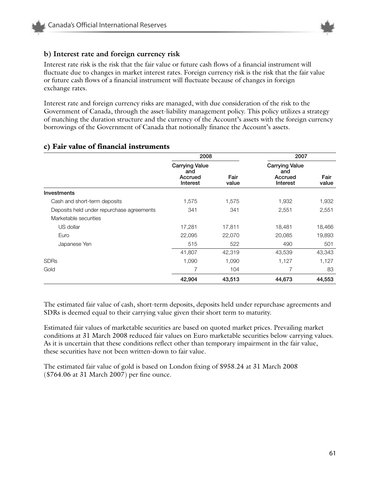

#### **b) Interest rate and foreign currency risk**

Interest rate risk is the risk that the fair value or future cash flows of a financial instrument will fluctuate due to changes in market interest rates. Foreign currency risk is the risk that the fair value or future cash flows of a financial instrument will fluctuate because of changes in foreign exchange rates.

Interest rate and foreign currency risks are managed, with due consideration of the risk to the Government of Canada, through the asset-liability management policy. This policy utilizes a strategy of matching the duration structure and the currency of the Account's assets with the foreign currency borrowings of the Government of Canada that notionally finance the Account's assets.

|                                           | 2008                                                |               | 2007                                                |               |
|-------------------------------------------|-----------------------------------------------------|---------------|-----------------------------------------------------|---------------|
|                                           | <b>Carrying Value</b><br>and<br>Accrued<br>Interest | Fair<br>value | <b>Carrying Value</b><br>and<br>Accrued<br>Interest | Fair<br>value |
| Investments                               |                                                     |               |                                                     |               |
| Cash and short-term deposits              | 1,575                                               | 1,575         | 1,932                                               | 1,932         |
| Deposits held under repurchase agreements | 341                                                 | 341           | 2,551                                               | 2,551         |
| Marketable securities                     |                                                     |               |                                                     |               |
| US dollar                                 | 17,281                                              | 17,811        | 18,481                                              | 18,466        |
| Euro                                      | 22,095                                              | 22,070        | 20,085                                              | 19,893        |
| Japanese Yen                              | 515                                                 | 522           | 490                                                 | 501           |
|                                           | 41,807                                              | 42,319        | 43,539                                              | 43,343        |
| <b>SDRs</b>                               | 1,090                                               | 1,090         | 1,127                                               | 1,127         |
| Gold                                      |                                                     | 104           | 7                                                   | 83            |
|                                           | 42,904                                              | 43,513        | 44,673                                              | 44,553        |

#### **c) Fair value of financial instruments**

The estimated fair value of cash, short-term deposits, deposits held under repurchase agreements and SDRs is deemed equal to their carrying value given their short term to maturity.

Estimated fair values of marketable securities are based on quoted market prices. Prevailing market conditions at 31 March 2008 reduced fair values on Euro marketable securities below carrying values. As it is uncertain that these conditions reflect other than temporary impairment in the fair value, these securities have not been written-down to fair value.

The estimated fair value of gold is based on London fixing of \$958.24 at 31 March 2008 (\$764.06 at 31 March 2007) per fine ounce.